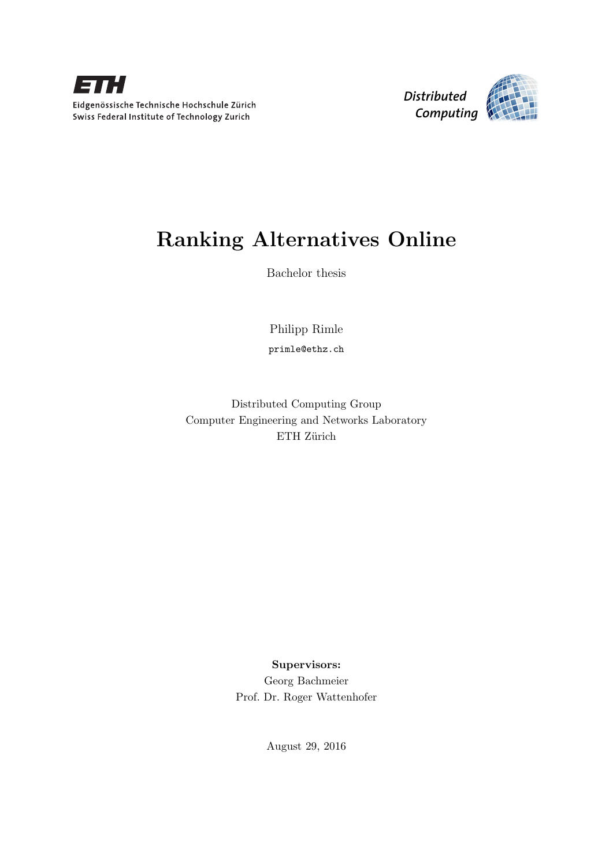



# Ranking Alternatives Online

Bachelor thesis

Philipp Rimle

primle@ethz.ch

Distributed Computing Group Computer Engineering and Networks Laboratory ETH Zürich

> Supervisors: Georg Bachmeier Prof. Dr. Roger Wattenhofer

> > August 29, 2016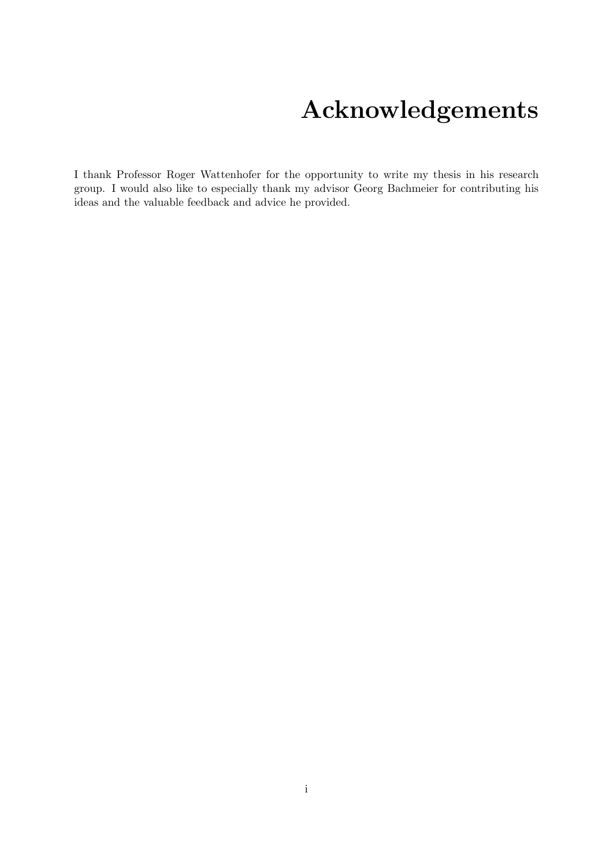# Acknowledgements

<span id="page-1-0"></span>I thank Professor Roger Wattenhofer for the opportunity to write my thesis in his research group. I would also like to especially thank my advisor Georg Bachmeier for contributing his ideas and the valuable feedback and advice he provided.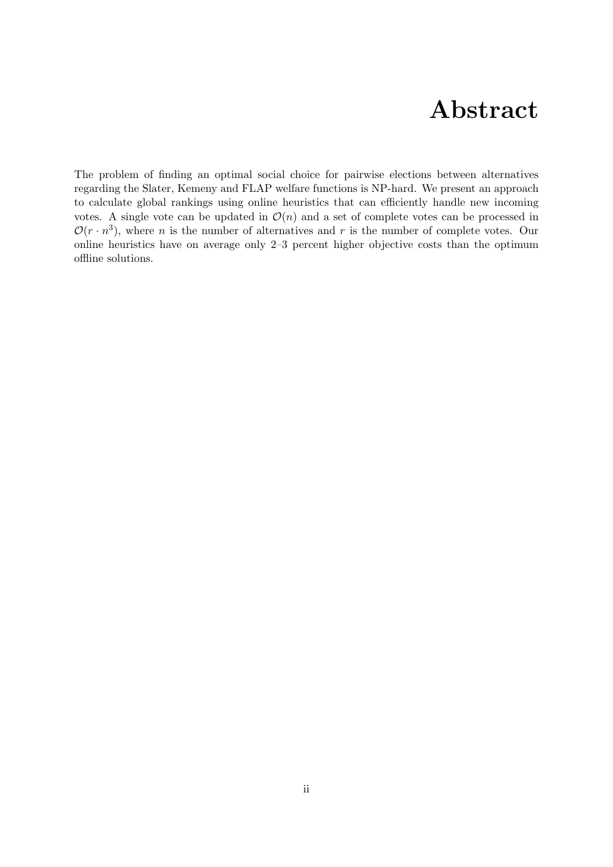## Abstract

<span id="page-2-0"></span>The problem of finding an optimal social choice for pairwise elections between alternatives regarding the Slater, Kemeny and FLAP welfare functions is NP-hard. We present an approach to calculate global rankings using online heuristics that can efficiently handle new incoming votes. A single vote can be updated in  $\mathcal{O}(n)$  and a set of complete votes can be processed in  $\mathcal{O}(r \cdot n^3)$ , where *n* is the number of alternatives and *r* is the number of complete votes. Our online heuristics have on average only 2–3 percent higher objective costs than the optimum offline solutions.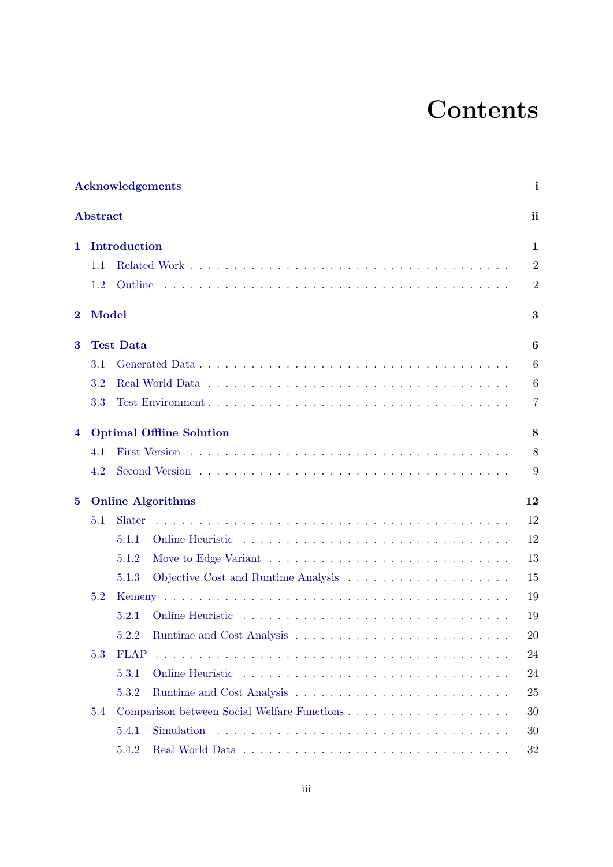# **Contents**

| Acknowledgements |                                 |                           |  |  |  |  |  |  |    | i |                |  |
|------------------|---------------------------------|---------------------------|--|--|--|--|--|--|----|---|----------------|--|
| Abstract         |                                 |                           |  |  |  |  |  |  |    |   | ii             |  |
| 1                |                                 | Introduction              |  |  |  |  |  |  |    |   |                |  |
|                  | 1.1                             |                           |  |  |  |  |  |  |    |   | $\overline{2}$ |  |
|                  | 1.2                             | Outline                   |  |  |  |  |  |  |    |   | $\overline{2}$ |  |
| $\bf{2}$         | Model                           |                           |  |  |  |  |  |  |    |   | 3              |  |
| 3                | <b>Test Data</b>                |                           |  |  |  |  |  |  |    | 6 |                |  |
|                  | 3.1                             |                           |  |  |  |  |  |  |    |   | 6              |  |
|                  | 3.2                             |                           |  |  |  |  |  |  |    |   | 6              |  |
|                  | 3.3                             |                           |  |  |  |  |  |  |    |   | 7              |  |
| 4                | <b>Optimal Offline Solution</b> |                           |  |  |  |  |  |  | 8  |   |                |  |
|                  | 4.1                             |                           |  |  |  |  |  |  |    |   | 8              |  |
|                  | 4.2                             |                           |  |  |  |  |  |  |    |   | 9              |  |
| $\bf{5}$         | <b>Online Algorithms</b>        |                           |  |  |  |  |  |  | 12 |   |                |  |
|                  | 5.1                             | Slater                    |  |  |  |  |  |  |    |   | 12             |  |
|                  |                                 | 5.1.1                     |  |  |  |  |  |  |    |   | 12             |  |
|                  |                                 | 5.1.2                     |  |  |  |  |  |  |    |   | 13             |  |
|                  |                                 | 5.1.3                     |  |  |  |  |  |  |    |   | 15             |  |
|                  | 5.2                             |                           |  |  |  |  |  |  |    |   | 19             |  |
|                  |                                 | 5.2.1<br>Online Heuristic |  |  |  |  |  |  |    |   | 19             |  |
|                  |                                 | 5.2.2                     |  |  |  |  |  |  |    |   | 20             |  |
|                  | 5.3                             | <b>FLAP</b>               |  |  |  |  |  |  |    |   | 24             |  |
|                  |                                 | 5.3.1                     |  |  |  |  |  |  |    |   | 24             |  |
|                  |                                 | 5.3.2                     |  |  |  |  |  |  |    |   | 25             |  |
|                  | 5.4                             |                           |  |  |  |  |  |  |    |   | 30             |  |
|                  |                                 | 5.4.1                     |  |  |  |  |  |  |    |   | 30             |  |
|                  |                                 | 5.4.2                     |  |  |  |  |  |  |    |   | 32             |  |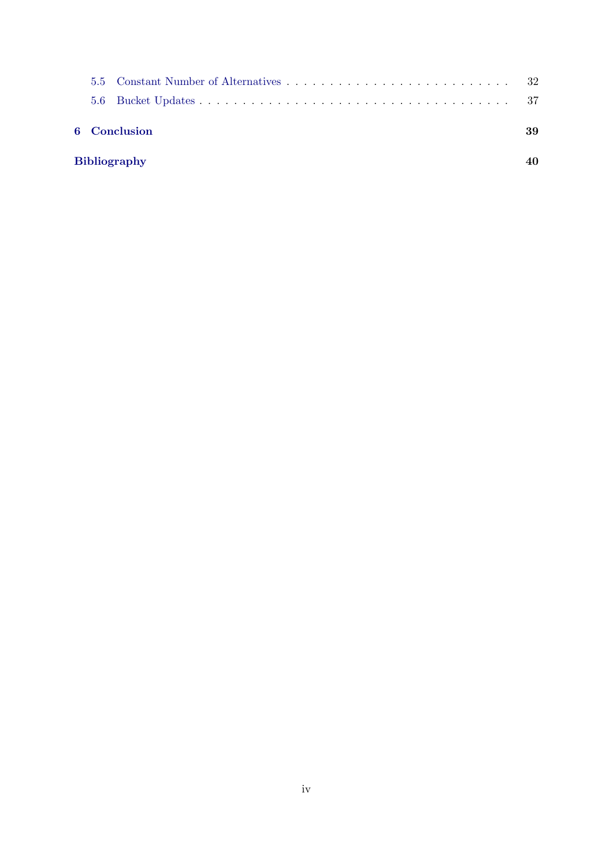| <b>Bibliography</b> |  |              |    |  |  |  |  |
|---------------------|--|--------------|----|--|--|--|--|
|                     |  | 6 Conclusion | 39 |  |  |  |  |
|                     |  |              |    |  |  |  |  |
|                     |  |              |    |  |  |  |  |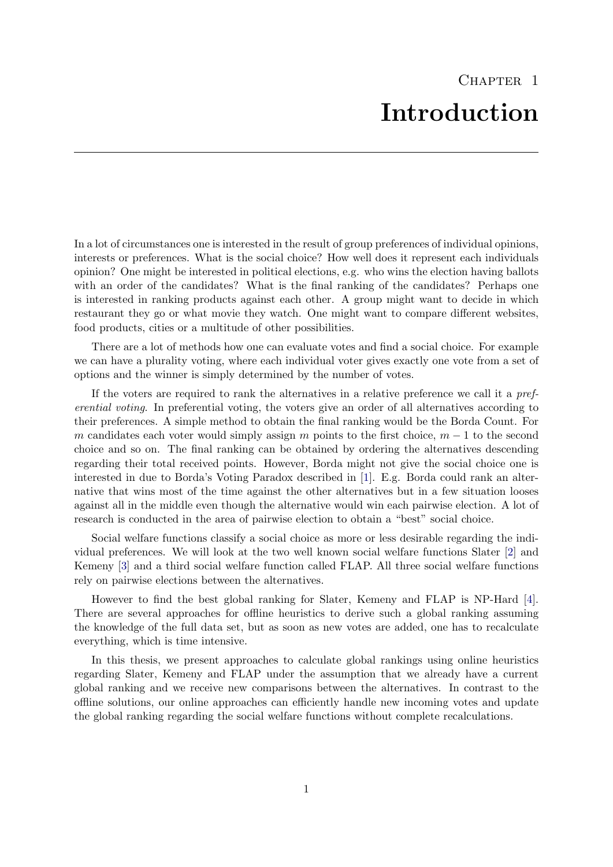<span id="page-5-0"></span>In a lot of circumstances one is interested in the result of group preferences of individual opinions, interests or preferences. What is the social choice? How well does it represent each individuals opinion? One might be interested in political elections, e.g. who wins the election having ballots with an order of the candidates? What is the final ranking of the candidates? Perhaps one is interested in ranking products against each other. A group might want to decide in which restaurant they go or what movie they watch. One might want to compare different websites, food products, cities or a multitude of other possibilities.

There are a lot of methods how one can evaluate votes and find a social choice. For example we can have a plurality voting, where each individual voter gives exactly one vote from a set of options and the winner is simply determined by the number of votes.

If the voters are required to rank the alternatives in a relative preference we call it a preferential voting. In preferential voting, the voters give an order of all alternatives according to their preferences. A simple method to obtain the final ranking would be the Borda Count. For m candidates each voter would simply assign m points to the first choice,  $m-1$  to the second choice and so on. The final ranking can be obtained by ordering the alternatives descending regarding their total received points. However, Borda might not give the social choice one is interested in due to Borda's Voting Paradox described in [\[1\]](#page-44-1). E.g. Borda could rank an alternative that wins most of the time against the other alternatives but in a few situation looses against all in the middle even though the alternative would win each pairwise election. A lot of research is conducted in the area of pairwise election to obtain a "best" social choice.

Social welfare functions classify a social choice as more or less desirable regarding the individual preferences. We will look at the two well known social welfare functions Slater [\[2\]](#page-44-2) and Kemeny [\[3\]](#page-44-3) and a third social welfare function called FLAP. All three social welfare functions rely on pairwise elections between the alternatives.

However to find the best global ranking for Slater, Kemeny and FLAP is NP-Hard [\[4\]](#page-44-4). There are several approaches for offline heuristics to derive such a global ranking assuming the knowledge of the full data set, but as soon as new votes are added, one has to recalculate everything, which is time intensive.

In this thesis, we present approaches to calculate global rankings using online heuristics regarding Slater, Kemeny and FLAP under the assumption that we already have a current global ranking and we receive new comparisons between the alternatives. In contrast to the offline solutions, our online approaches can efficiently handle new incoming votes and update the global ranking regarding the social welfare functions without complete recalculations.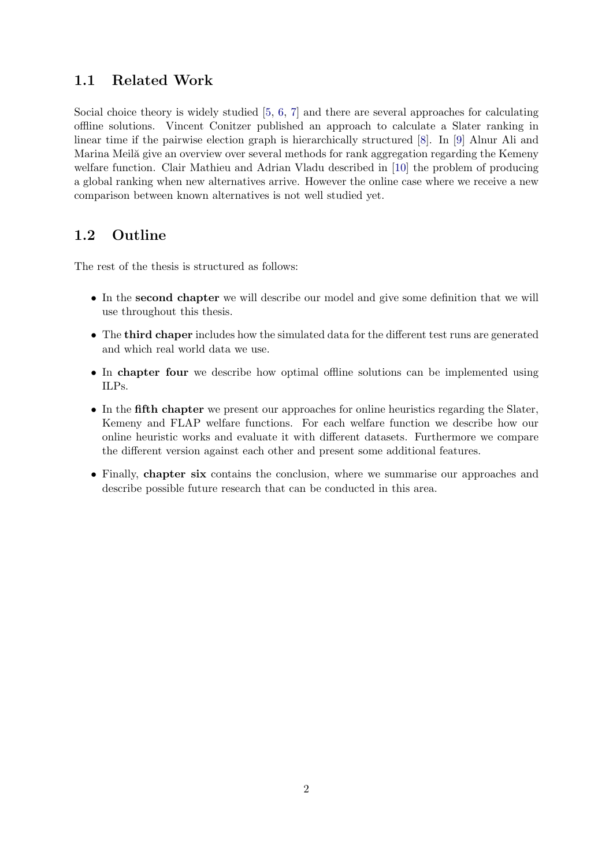## <span id="page-6-0"></span>1.1 Related Work

Social choice theory is widely studied [\[5,](#page-44-5) [6,](#page-44-6) [7\]](#page-44-7) and there are several approaches for calculating offline solutions. Vincent Conitzer published an approach to calculate a Slater ranking in linear time if the pairwise election graph is hierarchically structured [\[8\]](#page-44-8). In [\[9\]](#page-44-9) Alnur Ali and Marina Meilă give an overview over several methods for rank aggregation regarding the Kemeny welfare function. Clair Mathieu and Adrian Vladu described in [\[10\]](#page-44-10) the problem of producing a global ranking when new alternatives arrive. However the online case where we receive a new comparison between known alternatives is not well studied yet.

## <span id="page-6-1"></span>1.2 Outline

The rest of the thesis is structured as follows:

- In the second chapter we will describe our model and give some definition that we will use throughout this thesis.
- The third chaper includes how the simulated data for the different test runs are generated and which real world data we use.
- In chapter four we describe how optimal offline solutions can be implemented using ILPs.
- In the fifth chapter we present our approaches for online heuristics regarding the Slater, Kemeny and FLAP welfare functions. For each welfare function we describe how our online heuristic works and evaluate it with different datasets. Furthermore we compare the different version against each other and present some additional features.
- Finally, chapter six contains the conclusion, where we summarise our approaches and describe possible future research that can be conducted in this area.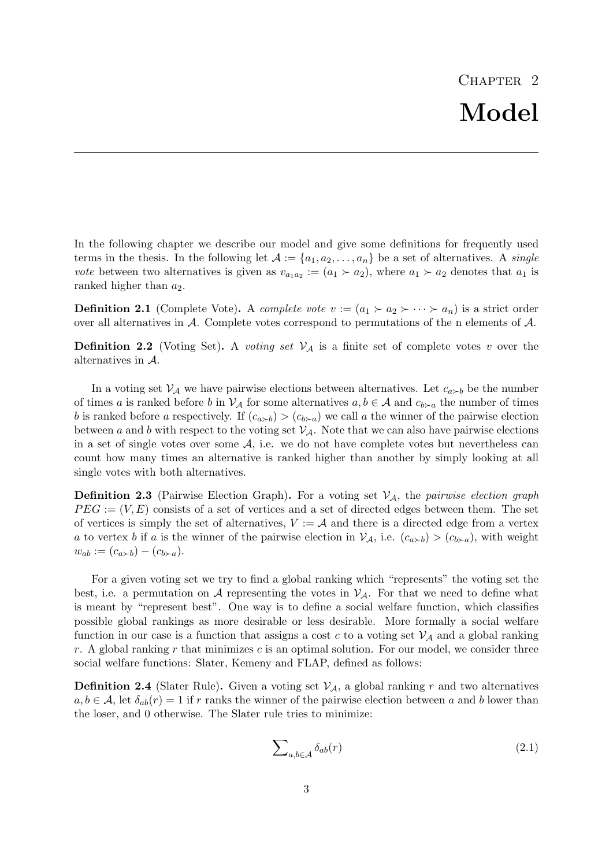<span id="page-7-0"></span>In the following chapter we describe our model and give some definitions for frequently used terms in the thesis. In the following let  $\mathcal{A} := \{a_1, a_2, \ldots, a_n\}$  be a set of alternatives. A *single vote* between two alternatives is given as  $v_{a_1 a_2} := (a_1 \succ a_2)$ , where  $a_1 \succ a_2$  denotes that  $a_1$  is ranked higher than  $a_2$ .

**Definition 2.1** (Complete Vote). A complete vote  $v := (a_1 \succ a_2 \succ \cdots \succ a_n)$  is a strict order over all alternatives in A. Complete votes correspond to permutations of the n elements of A.

**Definition 2.2** (Voting Set). A voting set  $V_A$  is a finite set of complete votes v over the alternatives in A.

In a voting set  $V_A$  we have pairwise elections between alternatives. Let  $c_{a\succ b}$  be the number of times a is ranked before b in  $\mathcal{V}_{\mathcal{A}}$  for some alternatives  $a, b \in \mathcal{A}$  and  $c_{b \succ a}$  the number of times b is ranked before a respectively. If  $(c_{a \succ b}) > (c_{b \succ a})$  we call a the winner of the pairwise election between a and b with respect to the voting set  $\mathcal{V}_{\mathcal{A}}$ . Note that we can also have pairwise elections in a set of single votes over some  $A$ , i.e. we do not have complete votes but nevertheless can count how many times an alternative is ranked higher than another by simply looking at all single votes with both alternatives.

**Definition 2.3** (Pairwise Election Graph). For a voting set  $V_A$ , the pairwise election graph  $PEG := (V, E)$  consists of a set of vertices and a set of directed edges between them. The set of vertices is simply the set of alternatives,  $V := \mathcal{A}$  and there is a directed edge from a vertex a to vertex b if a is the winner of the pairwise election in  $\mathcal{V}_{\mathcal{A}}$ , i.e.  $(c_{a\succ b}) > (c_{b\succ a})$ , with weight  $w_{ab} := (c_{a \succ b}) - (c_{b \succ a}).$ 

For a given voting set we try to find a global ranking which "represents" the voting set the best, i.e. a permutation on A representing the votes in  $\mathcal{V}_{\mathcal{A}}$ . For that we need to define what is meant by "represent best". One way is to define a social welfare function, which classifies possible global rankings as more desirable or less desirable. More formally a social welfare function in our case is a function that assigns a cost c to a voting set  $\mathcal{V}_{\mathcal{A}}$  and a global ranking r. A global ranking r that minimizes c is an optimal solution. For our model, we consider three social welfare functions: Slater, Kemeny and FLAP, defined as follows:

<span id="page-7-1"></span>**Definition 2.4** (Slater Rule). Given a voting set  $V_A$ , a global ranking r and two alternatives  $a, b \in \mathcal{A}$ , let  $\delta_{ab}(r) = 1$  if r ranks the winner of the pairwise election between a and b lower than the loser, and 0 otherwise. The Slater rule tries to minimize:

$$
\sum_{a,b \in \mathcal{A}} \delta_{ab}(r) \tag{2.1}
$$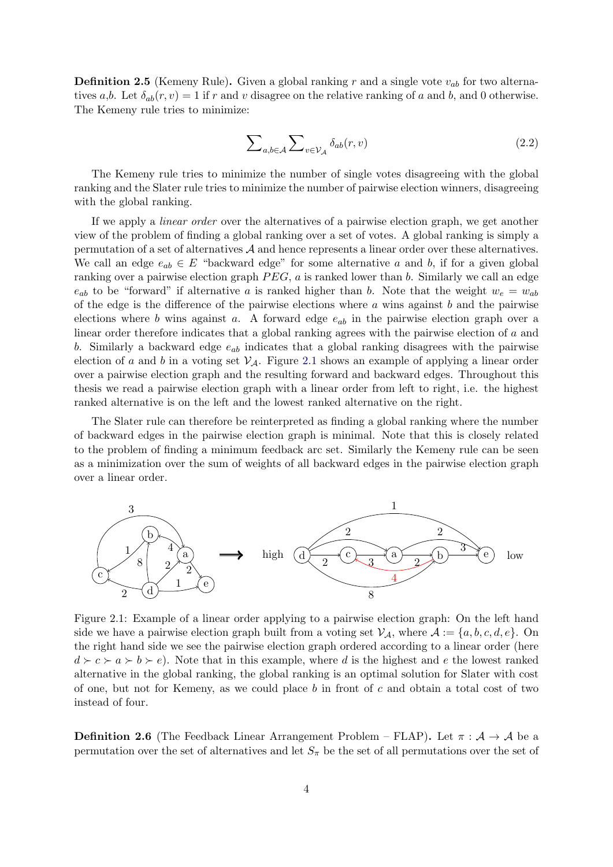<span id="page-8-1"></span>**Definition 2.5** (Kemeny Rule). Given a global ranking r and a single vote  $v_{ab}$  for two alternatives a,b. Let  $\delta_{ab}(r, v) = 1$  if r and v disagree on the relative ranking of a and b, and 0 otherwise. The Kemeny rule tries to minimize:

$$
\sum_{a,b \in \mathcal{A}} \sum_{v \in \mathcal{V}_{\mathcal{A}}} \delta_{ab}(r,v) \tag{2.2}
$$

The Kemeny rule tries to minimize the number of single votes disagreeing with the global ranking and the Slater rule tries to minimize the number of pairwise election winners, disagreeing with the global ranking.

If we apply a linear order over the alternatives of a pairwise election graph, we get another view of the problem of finding a global ranking over a set of votes. A global ranking is simply a permutation of a set of alternatives A and hence represents a linear order over these alternatives. We call an edge  $e_{ab} \in E$  "backward edge" for some alternative a and b, if for a given global ranking over a pairwise election graph  $PEG$ , a is ranked lower than b. Similarly we call an edge  $e_{ab}$  to be "forward" if alternative a is ranked higher than b. Note that the weight  $w_e = w_{ab}$ of the edge is the difference of the pairwise elections where  $a$  wins against  $b$  and the pairwise elections where b wins against a. A forward edge  $e_{ab}$  in the pairwise election graph over a linear order therefore indicates that a global ranking agrees with the pairwise election of a and b. Similarly a backward edge  $e_{ab}$  indicates that a global ranking disagrees with the pairwise election of a and b in a voting set  $V_A$ . Figure [2.1](#page-8-0) shows an example of applying a linear order over a pairwise election graph and the resulting forward and backward edges. Throughout this thesis we read a pairwise election graph with a linear order from left to right, i.e. the highest ranked alternative is on the left and the lowest ranked alternative on the right.

The Slater rule can therefore be reinterpreted as finding a global ranking where the number of backward edges in the pairwise election graph is minimal. Note that this is closely related to the problem of finding a minimum feedback arc set. Similarly the Kemeny rule can be seen as a minimization over the sum of weights of all backward edges in the pairwise election graph over a linear order.

<span id="page-8-0"></span>

Figure 2.1: Example of a linear order applying to a pairwise election graph: On the left hand side we have a pairwise election graph built from a voting set  $\mathcal{V}_{\mathcal{A}}$ , where  $\mathcal{A} := \{a, b, c, d, e\}$ . On the right hand side we see the pairwise election graph ordered according to a linear order (here  $d \succ c \succ a \succ b \succ e$ . Note that in this example, where d is the highest and e the lowest ranked alternative in the global ranking, the global ranking is an optimal solution for Slater with cost of one, but not for Kemeny, as we could place  $b$  in front of  $c$  and obtain a total cost of two instead of four.

<span id="page-8-2"></span>**Definition 2.6** (The Feedback Linear Arrangement Problem – FLAP). Let  $\pi : A \rightarrow A$  be a permutation over the set of alternatives and let  $S_{\pi}$  be the set of all permutations over the set of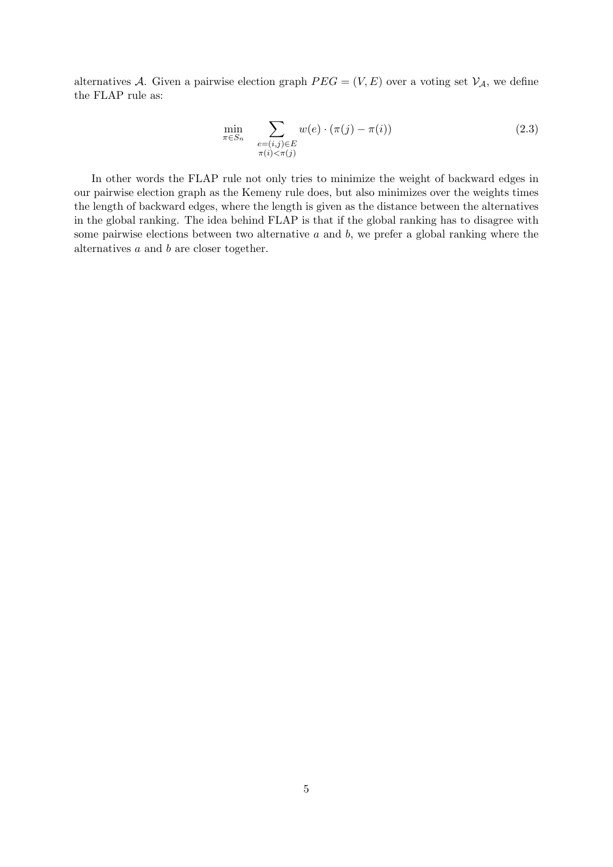alternatives A. Given a pairwise election graph  $PEG = (V, E)$  over a voting set  $V_A$ , we define the FLAP rule as:

$$
\min_{\pi \in S_n} \sum_{\substack{e = (i,j) \in E \\ \pi(i) < \pi(j)}} w(e) \cdot (\pi(j) - \pi(i)) \tag{2.3}
$$

In other words the FLAP rule not only tries to minimize the weight of backward edges in our pairwise election graph as the Kemeny rule does, but also minimizes over the weights times the length of backward edges, where the length is given as the distance between the alternatives in the global ranking. The idea behind FLAP is that if the global ranking has to disagree with some pairwise elections between two alternative  $a$  and  $b$ , we prefer a global ranking where the alternatives  $a$  and  $b$  are closer together.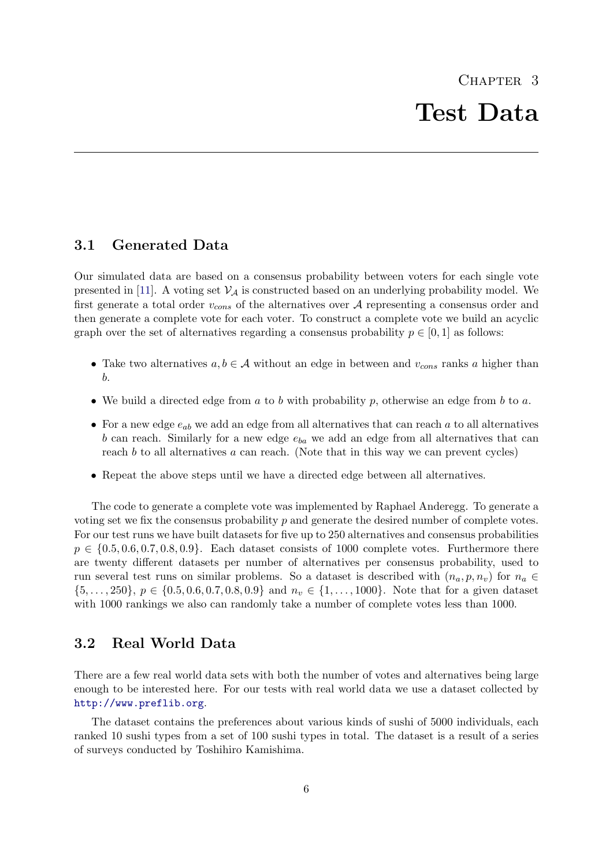## <span id="page-10-1"></span><span id="page-10-0"></span>3.1 Generated Data

Our simulated data are based on a consensus probability between voters for each single vote presented in [\[11\]](#page-44-11). A voting set  $\mathcal{V}_A$  is constructed based on an underlying probability model. We first generate a total order  $v_{cons}$  of the alternatives over A representing a consensus order and then generate a complete vote for each voter. To construct a complete vote we build an acyclic graph over the set of alternatives regarding a consensus probability  $p \in [0, 1]$  as follows:

- Take two alternatives  $a, b \in \mathcal{A}$  without an edge in between and  $v_{cons}$  ranks a higher than b.
- We build a directed edge from  $a$  to  $b$  with probability  $p$ , otherwise an edge from  $b$  to  $a$ .
- For a new edge  $e_{ab}$  we add an edge from all alternatives that can reach a to all alternatives b can reach. Similarly for a new edge  $e_{ba}$  we add an edge from all alternatives that can reach  $b$  to all alternatives  $a$  can reach. (Note that in this way we can prevent cycles)
- Repeat the above steps until we have a directed edge between all alternatives.

The code to generate a complete vote was implemented by Raphael Anderegg. To generate a voting set we fix the consensus probability  $p$  and generate the desired number of complete votes. For our test runs we have built datasets for five up to 250 alternatives and consensus probabilities  $p \in \{0.5, 0.6, 0.7, 0.8, 0.9\}$ . Each dataset consists of 1000 complete votes. Furthermore there are twenty different datasets per number of alternatives per consensus probability, used to run several test runs on similar problems. So a dataset is described with  $(n_a, p, n_v)$  for  $n_a \in$  $\{5,\ldots,250\}, p \in \{0.5,0.6,0.7,0.8,0.9\}$  and  $n_v \in \{1,\ldots,1000\}.$  Note that for a given dataset with 1000 rankings we also can randomly take a number of complete votes less than 1000.

## <span id="page-10-2"></span>3.2 Real World Data

There are a few real world data sets with both the number of votes and alternatives being large enough to be interested here. For our tests with real world data we use a dataset collected by <http://www.preflib.org>.

The dataset contains the preferences about various kinds of sushi of 5000 individuals, each ranked 10 sushi types from a set of 100 sushi types in total. The dataset is a result of a series of surveys conducted by Toshihiro Kamishima.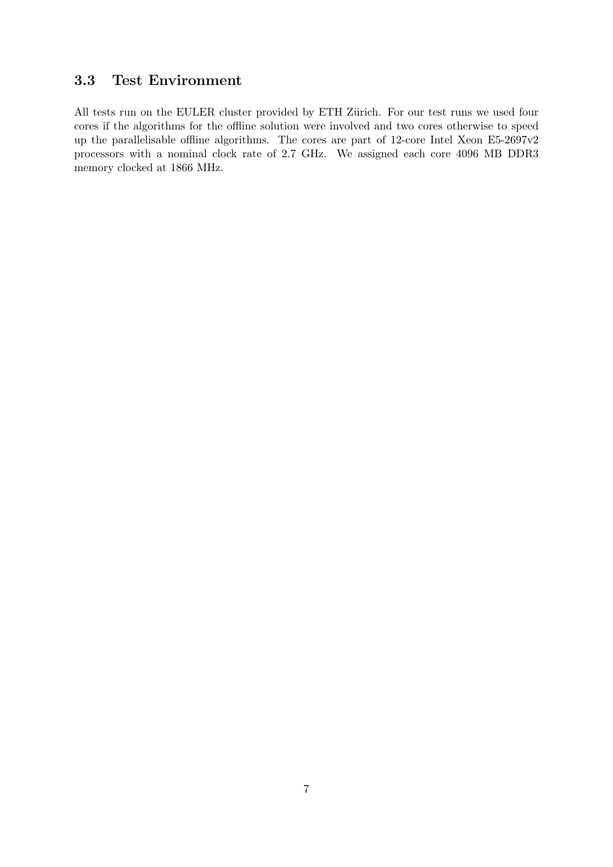## <span id="page-11-0"></span>3.3 Test Environment

All tests run on the EULER cluster provided by ETH Zürich. For our test runs we used four cores if the algorithms for the offline solution were involved and two cores otherwise to speed up the parallelisable offline algorithms. The cores are part of 12-core Intel Xeon E5-2697v2 processors with a nominal clock rate of 2.7 GHz. We assigned each core 4096 MB DDR3 memory clocked at 1866 MHz.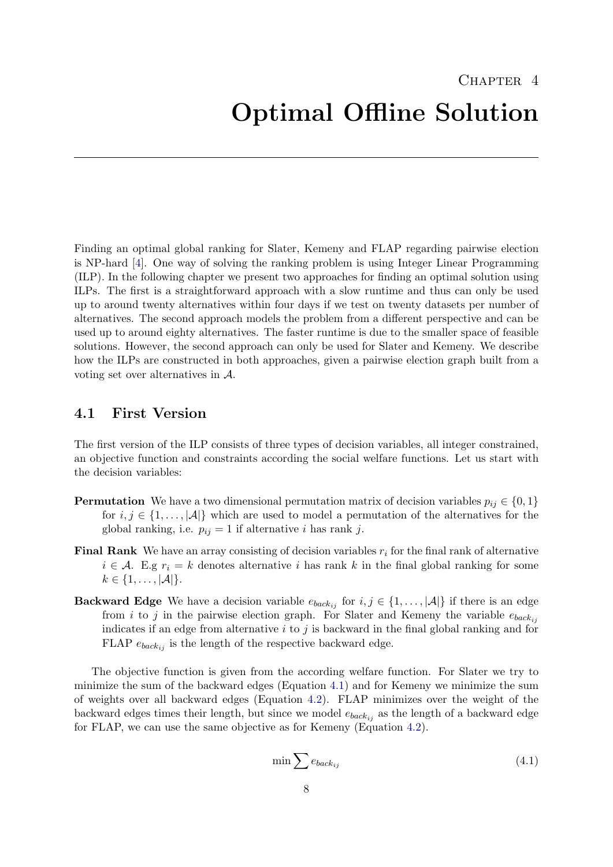<span id="page-12-0"></span>Finding an optimal global ranking for Slater, Kemeny and FLAP regarding pairwise election is NP-hard [\[4\]](#page-44-4). One way of solving the ranking problem is using Integer Linear Programming (ILP). In the following chapter we present two approaches for finding an optimal solution using ILPs. The first is a straightforward approach with a slow runtime and thus can only be used up to around twenty alternatives within four days if we test on twenty datasets per number of alternatives. The second approach models the problem from a different perspective and can be used up to around eighty alternatives. The faster runtime is due to the smaller space of feasible solutions. However, the second approach can only be used for Slater and Kemeny. We describe how the ILPs are constructed in both approaches, given a pairwise election graph built from a voting set over alternatives in A.

## <span id="page-12-1"></span>4.1 First Version

The first version of the ILP consists of three types of decision variables, all integer constrained, an objective function and constraints according the social welfare functions. Let us start with the decision variables:

- **Permutation** We have a two dimensional permutation matrix of decision variables  $p_{ij} \in \{0, 1\}$ for  $i, j \in \{1, \ldots, |\mathcal{A}|\}$  which are used to model a permutation of the alternatives for the global ranking, i.e.  $p_{ij} = 1$  if alternative i has rank j.
- **Final Rank** We have an array consisting of decision variables  $r_i$  for the final rank of alternative  $i \in \mathcal{A}$ . E.g  $r_i = k$  denotes alternative i has rank k in the final global ranking for some  $k \in \{1, \ldots, |\mathcal{A}|\}.$
- **Backward Edge** We have a decision variable  $e_{back_{ij}}$  for  $i, j \in \{1, ..., |\mathcal{A}|\}$  if there is an edge from i to j in the pairwise election graph. For Slater and Kemeny the variable  $e_{back_{ij}}$ indicates if an edge from alternative  $i$  to  $j$  is backward in the final global ranking and for FLAP  $e_{back_{ij}}$  is the length of the respective backward edge.

The objective function is given from the according welfare function. For Slater we try to minimize the sum of the backward edges (Equation [4.1\)](#page-12-2) and for Kemeny we minimize the sum of weights over all backward edges (Equation [4.2\)](#page-13-1). FLAP minimizes over the weight of the backward edges times their length, but since we model  $e_{back_{ij}}$  as the length of a backward edge for FLAP, we can use the same objective as for Kemeny (Equation [4.2\)](#page-13-1).

<span id="page-12-2"></span>
$$
\min \sum e_{back_{ij}} \tag{4.1}
$$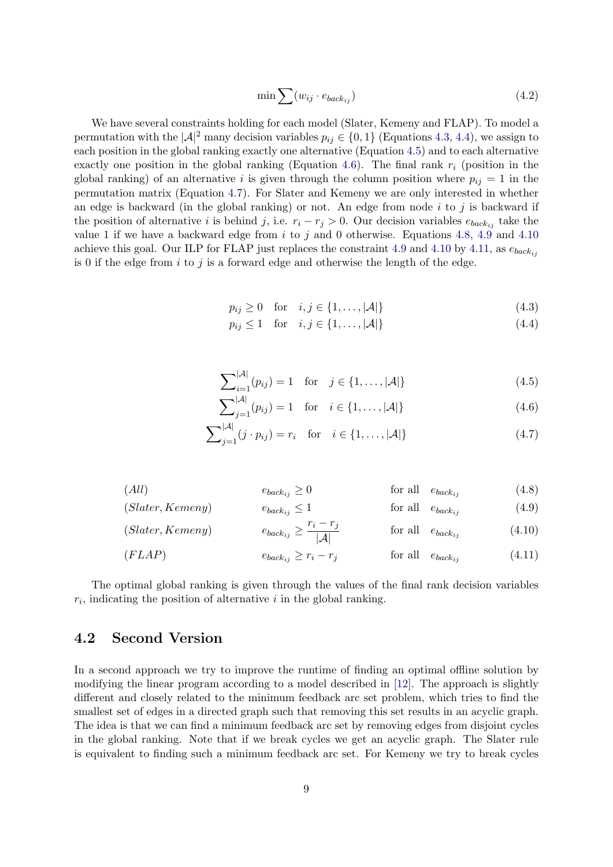<span id="page-13-1"></span>
$$
\min \sum (w_{ij} \cdot e_{back_{ij}}) \tag{4.2}
$$

We have several constraints holding for each model (Slater, Kemeny and FLAP). To model a permutation with the  $|A|^2$  many decision variables  $p_{ij} \in \{0, 1\}$  (Equations [4.3,](#page-13-2) [4.4\)](#page-13-3), we assign to each position in the global ranking exactly one alternative (Equation [4.5\)](#page-13-4) and to each alternative exactly one position in the global ranking (Equation [4.6\)](#page-13-5). The final rank  $r_i$  (position in the global ranking) of an alternative i is given through the column position where  $p_{ij} = 1$  in the permutation matrix (Equation [4.7\)](#page-13-6). For Slater and Kemeny we are only interested in whether an edge is backward (in the global ranking) or not. An edge from node  $i$  to  $j$  is backward if the position of alternative i is behind j, i.e.  $r_i - r_j > 0$ . Our decision variables  $e_{back_{ij}}$  take the value 1 if we have a backward edge from  $i$  to  $j$  and 0 otherwise. Equations [4.8,](#page-13-7) [4.9](#page-13-8) and [4.10](#page-13-9) achieve this goal. Our ILP for FLAP just replaces the constraint [4.9](#page-13-8) and [4.10](#page-13-9) by [4.11,](#page-13-10) as  $e_{back_{ii}}$ is 0 if the edge from  $i$  to  $j$  is a forward edge and otherwise the length of the edge.

<span id="page-13-3"></span><span id="page-13-2"></span>
$$
p_{ij} \ge 0 \quad \text{for} \quad i, j \in \{1, \dots, |\mathcal{A}|\}\tag{4.3}
$$

<span id="page-13-4"></span>
$$
p_{ij} \le 1 \quad \text{for} \quad i, j \in \{1, \dots, |\mathcal{A}|\}\tag{4.4}
$$

<span id="page-13-6"></span><span id="page-13-5"></span>
$$
\sum_{i=1}^{|\mathcal{A}|} (p_{ij}) = 1 \quad \text{for} \quad j \in \{1, ..., |\mathcal{A}|\}
$$
 (4.5)

<span id="page-13-9"></span><span id="page-13-8"></span><span id="page-13-7"></span>
$$
\sum_{j=1}^{|\mathcal{A}|} (p_{ij}) = 1 \quad \text{for} \quad i \in \{1, ..., |\mathcal{A}|\} \tag{4.6}
$$

<span id="page-13-10"></span>
$$
\sum_{j=1}^{|\mathcal{A}|} (j \cdot p_{ij}) = r_i \quad \text{for} \quad i \in \{1, \dots, |\mathcal{A}|\} \tag{4.7}
$$

$$
(All) \t\t e_{back_{ij}} \ge 0 \t\t for all \t e_{back_{ij}} \t\t (4.8)
$$

$$
(Slater, Kemeny) \t\t ebackij \le 1 \t\t for all \t ebackij \t\t (4.9)
$$

$$
(Slater, Kemeny) \t ebackij \ge \frac{r_i - r_j}{|\mathcal{A}|} \t \text{for all} \t ebackij \t (4.10)
$$
  

$$
(FLAP) \t ebackij \ge r_i - r_j \t \text{for all} \t ebackij \t (4.11)
$$

The optimal global ranking is given through the values of the final rank decision variables

 $r_i$ , indicating the position of alternative i in the global ranking.

## <span id="page-13-0"></span>4.2 Second Version

In a second approach we try to improve the runtime of finding an optimal offline solution by modifying the linear program according to a model described in [\[12\]](#page-44-12). The approach is slightly different and closely related to the minimum feedback arc set problem, which tries to find the smallest set of edges in a directed graph such that removing this set results in an acyclic graph. The idea is that we can find a minimum feedback arc set by removing edges from disjoint cycles in the global ranking. Note that if we break cycles we get an acyclic graph. The Slater rule is equivalent to finding such a minimum feedback arc set. For Kemeny we try to break cycles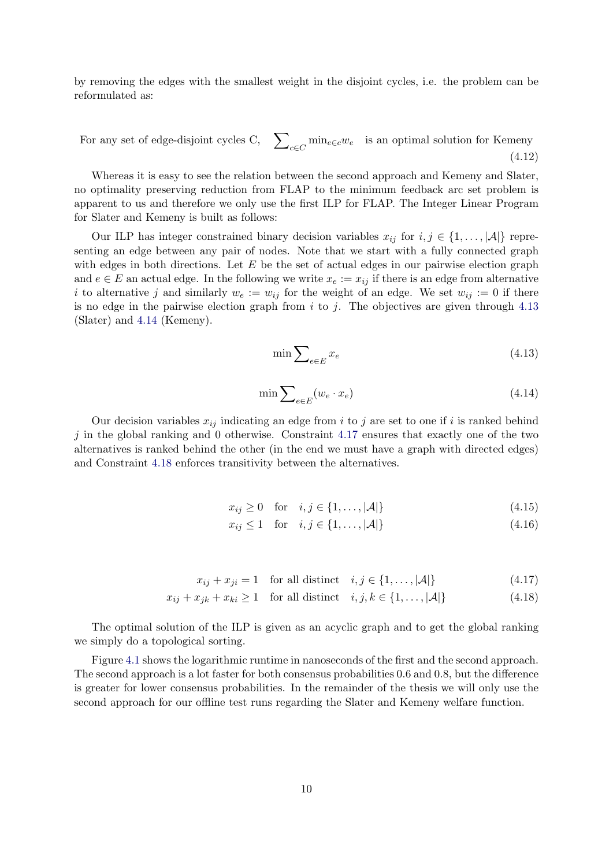by removing the edges with the smallest weight in the disjoint cycles, i.e. the problem can be reformulated as:

For any set of edge-disjoint cycles C,  $\sum_{c \in C} \min_{e \in c} w_e$  is an optimal solution for Kemeny (4.12)

Whereas it is easy to see the relation between the second approach and Kemeny and Slater, no optimality preserving reduction from FLAP to the minimum feedback arc set problem is apparent to us and therefore we only use the first ILP for FLAP. The Integer Linear Program for Slater and Kemeny is built as follows:

Our ILP has integer constrained binary decision variables  $x_{ij}$  for  $i, j \in \{1, ..., |\mathcal{A}|\}$  representing an edge between any pair of nodes. Note that we start with a fully connected graph with edges in both directions. Let  $E$  be the set of actual edges in our pairwise election graph and  $e \in E$  an actual edge. In the following we write  $x_e := x_{ij}$  if there is an edge from alternative i to alternative j and similarly  $w_e := w_{ij}$  for the weight of an edge. We set  $w_{ij} := 0$  if there is no edge in the pairwise election graph from  $i$  to  $j$ . The objectives are given through [4.13](#page-14-0) (Slater) and [4.14](#page-14-1) (Kemeny).

<span id="page-14-0"></span>
$$
\min \sum_{e \in E} x_e \tag{4.13}
$$

<span id="page-14-1"></span>
$$
\min \sum_{e \in E} (w_e \cdot x_e) \tag{4.14}
$$

Our decision variables  $x_{ij}$  indicating an edge from i to j are set to one if i is ranked behind  $j$  in the global ranking and 0 otherwise. Constraint [4.17](#page-14-2) ensures that exactly one of the two alternatives is ranked behind the other (in the end we must have a graph with directed edges) and Constraint [4.18](#page-14-3) enforces transitivity between the alternatives.

$$
x_{ij} \ge 0 \quad \text{for} \quad i, j \in \{1, \dots, |\mathcal{A}|\}\tag{4.15}
$$

<span id="page-14-3"></span><span id="page-14-2"></span>
$$
x_{ij} \le 1 \quad \text{for} \quad i, j \in \{1, \dots, |\mathcal{A}|\}\tag{4.16}
$$

$$
x_{ij} + x_{ji} = 1 \quad \text{for all distinct} \quad i, j \in \{1, \dots, |\mathcal{A}|\} \tag{4.17}
$$

$$
x_{ij} + x_{jk} + x_{ki} \ge 1 \quad \text{for all distinct} \quad i, j, k \in \{1, \dots, |\mathcal{A}|\} \tag{4.18}
$$

The optimal solution of the ILP is given as an acyclic graph and to get the global ranking we simply do a topological sorting.

Figure [4.1](#page-15-0) shows the logarithmic runtime in nanoseconds of the first and the second approach. The second approach is a lot faster for both consensus probabilities 0.6 and 0.8, but the difference is greater for lower consensus probabilities. In the remainder of the thesis we will only use the second approach for our offline test runs regarding the Slater and Kemeny welfare function.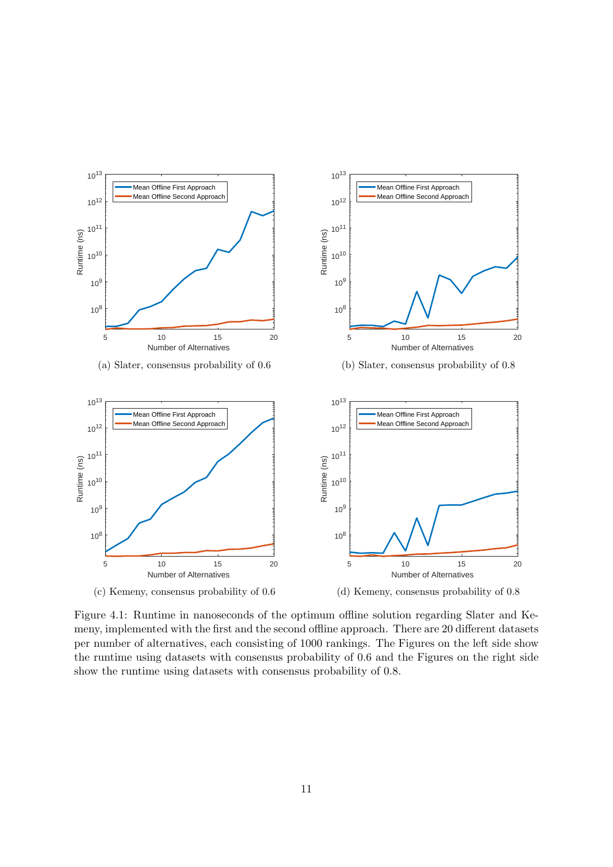<span id="page-15-0"></span>

Figure 4.1: Runtime in nanoseconds of the optimum offline solution regarding Slater and Kemeny, implemented with the first and the second offline approach. There are 20 different datasets per number of alternatives, each consisting of 1000 rankings. The Figures on the left side show the runtime using datasets with consensus probability of 0.6 and the Figures on the right side show the runtime using datasets with consensus probability of 0.8.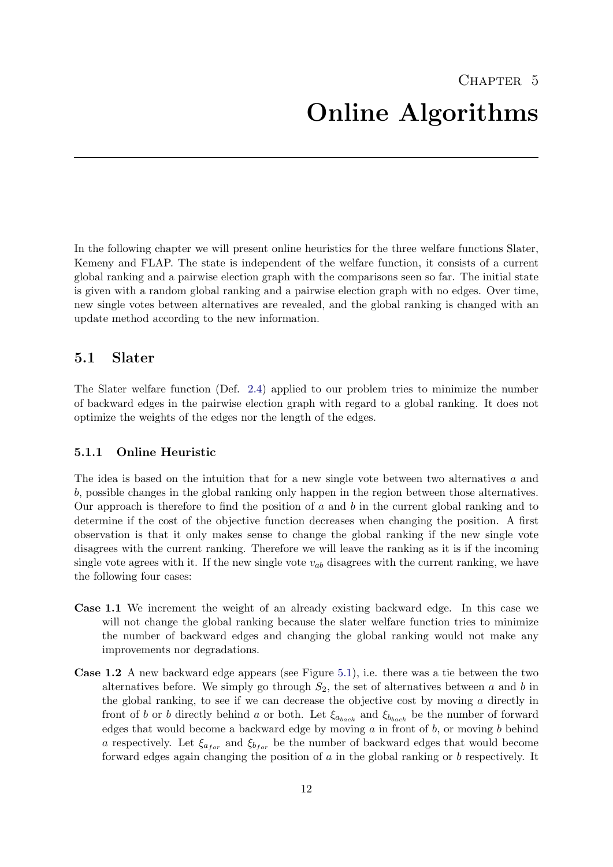<span id="page-16-0"></span>In the following chapter we will present online heuristics for the three welfare functions Slater, Kemeny and FLAP. The state is independent of the welfare function, it consists of a current global ranking and a pairwise election graph with the comparisons seen so far. The initial state is given with a random global ranking and a pairwise election graph with no edges. Over time, new single votes between alternatives are revealed, and the global ranking is changed with an update method according to the new information.

## <span id="page-16-1"></span>5.1 Slater

The Slater welfare function (Def. [2.4\)](#page-7-1) applied to our problem tries to minimize the number of backward edges in the pairwise election graph with regard to a global ranking. It does not optimize the weights of the edges nor the length of the edges.

## <span id="page-16-2"></span>5.1.1 Online Heuristic

The idea is based on the intuition that for a new single vote between two alternatives a and b, possible changes in the global ranking only happen in the region between those alternatives. Our approach is therefore to find the position of  $a$  and  $b$  in the current global ranking and to determine if the cost of the objective function decreases when changing the position. A first observation is that it only makes sense to change the global ranking if the new single vote disagrees with the current ranking. Therefore we will leave the ranking as it is if the incoming single vote agrees with it. If the new single vote  $v_{ab}$  disagrees with the current ranking, we have the following four cases:

- Case 1.1 We increment the weight of an already existing backward edge. In this case we will not change the global ranking because the slater welfare function tries to minimize the number of backward edges and changing the global ranking would not make any improvements nor degradations.
- Case 1.2 A new backward edge appears (see Figure [5.1\)](#page-17-1), i.e. there was a tie between the two alternatives before. We simply go through  $S_2$ , the set of alternatives between a and b in the global ranking, to see if we can decrease the objective cost by moving  $a$  directly in front of b or b directly behind a or both. Let  $\xi_{a_{back}}$  and  $\xi_{b_{back}}$  be the number of forward edges that would become a backward edge by moving  $a$  in front of  $b$ , or moving  $b$  behind a respectively. Let  $\xi_{a_{for}}$  and  $\xi_{b_{for}}$  be the number of backward edges that would become forward edges again changing the position of  $a$  in the global ranking or  $b$  respectively. It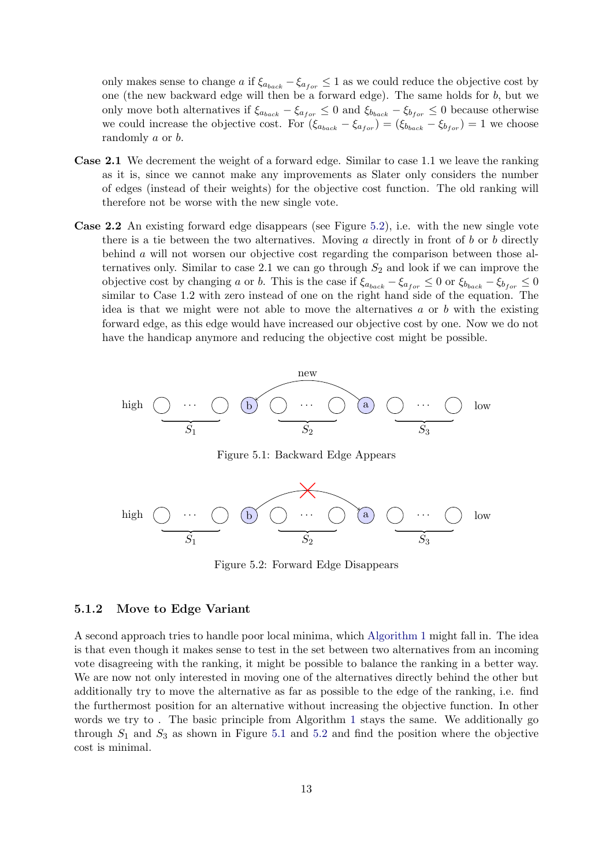only makes sense to change a if  $\xi_{a_{back}} - \xi_{a_{for}} \leq 1$  as we could reduce the objective cost by one (the new backward edge will then be a forward edge). The same holds for b, but we only move both alternatives if  $\xi_{a_{back}} - \xi_{a_{for}} \leq 0$  and  $\xi_{b_{back}} - \xi_{b_{for}} \leq 0$  because otherwise we could increase the objective cost. For  $(\xi_{a_{back}} - \xi_{a_{for}}) = (\xi_{b_{back}} - \xi_{b_{for}}) = 1$  we choose randomly a or b.

- Case 2.1 We decrement the weight of a forward edge. Similar to case 1.1 we leave the ranking as it is, since we cannot make any improvements as Slater only considers the number of edges (instead of their weights) for the objective cost function. The old ranking will therefore not be worse with the new single vote.
- Case 2.2 An existing forward edge disappears (see Figure [5.2\)](#page-17-2), i.e. with the new single vote there is a tie between the two alternatives. Moving a directly in front of b or b directly behind a will not worsen our objective cost regarding the comparison between those alternatives only. Similar to case 2.1 we can go through  $S_2$  and look if we can improve the objective cost by changing a or b. This is the case if  $\xi_{a_{back}} - \xi_{a_{for}} \leq 0$  or  $\xi_{b_{back}} - \xi_{b_{for}} \leq 0$ similar to Case 1.2 with zero instead of one on the right hand side of the equation. The idea is that we might were not able to move the alternatives  $a$  or  $b$  with the existing forward edge, as this edge would have increased our objective cost by one. Now we do not have the handicap anymore and reducing the objective cost might be possible.

<span id="page-17-1"></span>

Figure 5.1: Backward Edge Appears

<span id="page-17-2"></span>

Figure 5.2: Forward Edge Disappears

#### <span id="page-17-0"></span>5.1.2 Move to Edge Variant

A second approach tries to handle poor local minima, which [Algorithm 1](#page-18-0) might fall in. The idea is that even though it makes sense to test in the set between two alternatives from an incoming vote disagreeing with the ranking, it might be possible to balance the ranking in a better way. We are now not only interested in moving one of the alternatives directly behind the other but additionally try to move the alternative as far as possible to the edge of the ranking, i.e. find the furthermost position for an alternative without increasing the objective function. In other words we try to . The basic principle from Algorithm [1](#page-18-0) stays the same. We additionally go through  $S_1$  and  $S_3$  as shown in Figure [5.1](#page-17-1) and [5.2](#page-17-2) and find the position where the objective cost is minimal.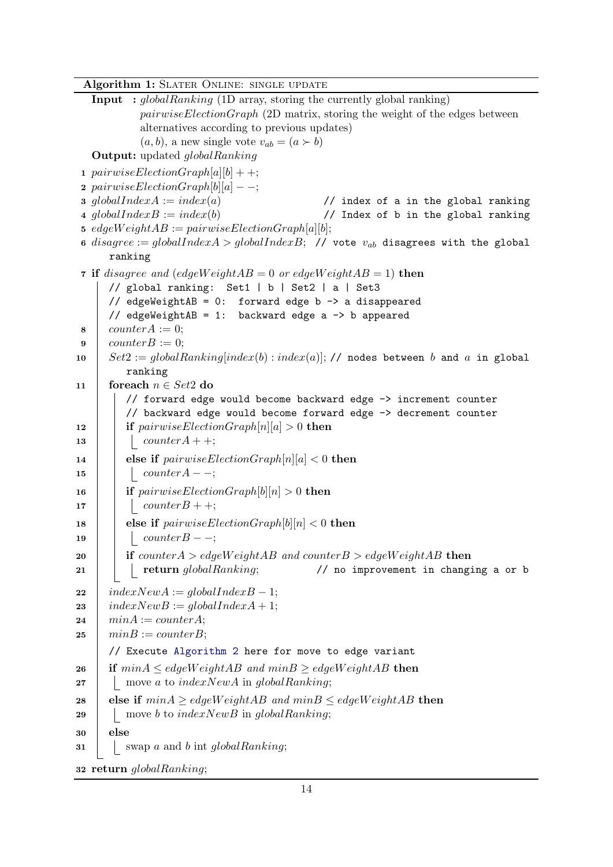Algorithm 1: SLATER ONLINE: SINGLE UPDATE

```
Input : globalRanking (1D array, storing the currently global ranking)
           pairwiseElectionGraph (2D matrix, storing the weight of the edges between
           alternatives according to previous updates)
           (a, b), a new single vote v_{ab} = (a \succ b)Output: updated alobalRanking
1 pairwiseElectionGraph[a][b] + +;
2 pairwiseElectronGraph[6][a] -;
3 globalIndexA := index(a) // index of a in the global ranking
4 globalIndexB := index(b) // Index of b in the global ranking
5 edgeWeightAB := pairwiseElectionGraph[a][b];
6 disagree := globalIndexA > globalIndexB; // vote v_{ab} disagrees with the global
     ranking
7 if disagree and (edgeWeightAB = 0 or edgeWeightAB = 1) then
     // global ranking: Set1 | b | Set2 | a | Set3
     // edgeWeightAB = 0: forward edge b \rightarrow a disappeared
     // edgeWeightAB = 1: backward edge a \rightarrow b appeared
\sim counter A := 0;
9 | counterB := 0;10 Set2 := globalRanking/index(b):index(a)|; // nodes between b and a in globalranking
11 foreach n \in Set2 do
        // forward edge would become backward edge -> increment counter
        // backward edge would become forward edge -> decrement counter
12 if pairwiseElectionGraph[n][a] > 0 then
13 | | counterA +;
14 else if pairwiseElectronGraph[n][a] < 0 then
15 counter A – –;
16 if pairwiseElectionGraph[b][n] > 0 then
17 | | counterB + +;
18 else if pairwiseElectronGraph[b][n] < 0 then
19 | counterB - -;
20 if counter A > edgeWeight AB and counter B > edgeWeight AB then
21 return globalRanking; \frac{1}{2} return globalRanking; \frac{1}{2} return globalRanking;
22 indexNewA := globalIndexB - 1;
23 indexNewB := globalIndexA + 1;24 minA := counterA;
25 \mid minB := counterB;// Execute Algorithm 2 here for move to edge variant
26 if min A \leq edgeWeight AB and min B \geq edgeWeight AB then
27 | move a to indexNewA in globalRanking;
28 else if min A \geq edgeWeight AB and min B \leq edgeWeight AB then
29 | move b to indexNewB in globalRanking;
30 \mid \text{else}31 swap a and b int global Ranking;
32 return globalRanking;
```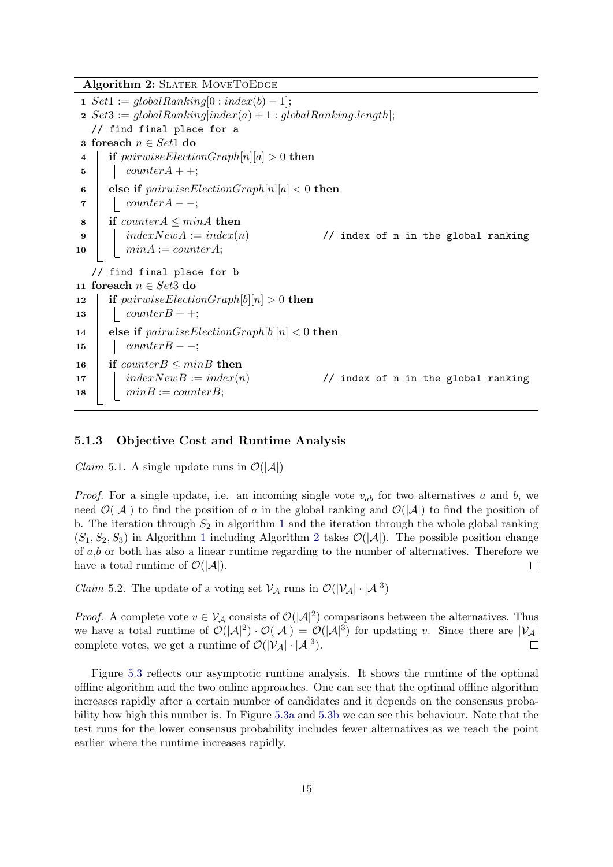Algorithm 2: SLATER MOVETOEDGE

```
1 Set1 := globalRanking[0:index(b) - 1];2 Set3 := globalRanking|index(a) + 1 : globalRanking.length;// find final place for a
3 foreach n \in Set1 do
4 if pairwiseElectronGraph[n][a] > 0 then
\mathbf{5} | counter A + +;
6 else if pairwiseElectronGraph[n][a] < 0 then
7 counterA − −;
8 if counterA \leq minA then
9 indexNewA := index(n) // index of n in the global ranking
10 \mid minA := counterA;// find final place for b
11 foreach n \in Set3 do
12 if pairwiseElectronGraph[b][n] > 0 then
13 | counterB + +;
14 else if pairwiseElectionGraph[b][n] < 0 then
15 \vert counter B - -;
16 if counter B \leq minB then
17 indexNewB := index(n) // index of n in the global ranking
18 \mid minB := counterB;
```
#### <span id="page-19-0"></span>5.1.3 Objective Cost and Runtime Analysis

*Claim* 5.1. A single update runs in  $\mathcal{O}(|\mathcal{A}|)$ 

*Proof.* For a single update, i.e. an incoming single vote  $v_{ab}$  for two alternatives a and b, we need  $\mathcal{O}(|\mathcal{A}|)$  to find the position of a in the global ranking and  $\mathcal{O}(|\mathcal{A}|)$  to find the position of b. The iteration through  $S_2$  in algorithm [1](#page-18-0) and the iteration through the whole global ranking  $(S_1, S_2, S_3)$  $(S_1, S_2, S_3)$  $(S_1, S_2, S_3)$  $(S_1, S_2, S_3)$  $(S_1, S_2, S_3)$  in Algorithm 1 including Algorithm 2 takes  $\mathcal{O}(|\mathcal{A}|)$ . The possible position change of a,b or both has also a linear runtime regarding to the number of alternatives. Therefore we have a total runtime of  $\mathcal{O}(|\mathcal{A}|)$ .  $\Box$ 

<span id="page-19-2"></span>*Claim* 5.2. The update of a voting set  $V_A$  runs in  $\mathcal{O}(|V_A| \cdot |A|^3)$ 

*Proof.* A complete vote  $v \in V_A$  consists of  $\mathcal{O}(|A|^2)$  comparisons between the alternatives. Thus we have a total runtime of  $\mathcal{O}(|A|^2) \cdot \mathcal{O}(|A|) = \mathcal{O}(|A|^3)$  for updating v. Since there are  $|\mathcal{V}_A|$ complete votes, we get a runtime of  $\mathcal{O}(|\mathcal{V}_{\mathcal{A}}| \cdot |\mathcal{A}|^3)$ .  $\Box$ 

Figure [5.3](#page-21-0) reflects our asymptotic runtime analysis. It shows the runtime of the optimal offline algorithm and the two online approaches. One can see that the optimal offline algorithm increases rapidly after a certain number of candidates and it depends on the consensus probability how high this number is. In Figure [5.3a](#page-21-0) and [5.3b](#page-21-0) we can see this behaviour. Note that the test runs for the lower consensus probability includes fewer alternatives as we reach the point earlier where the runtime increases rapidly.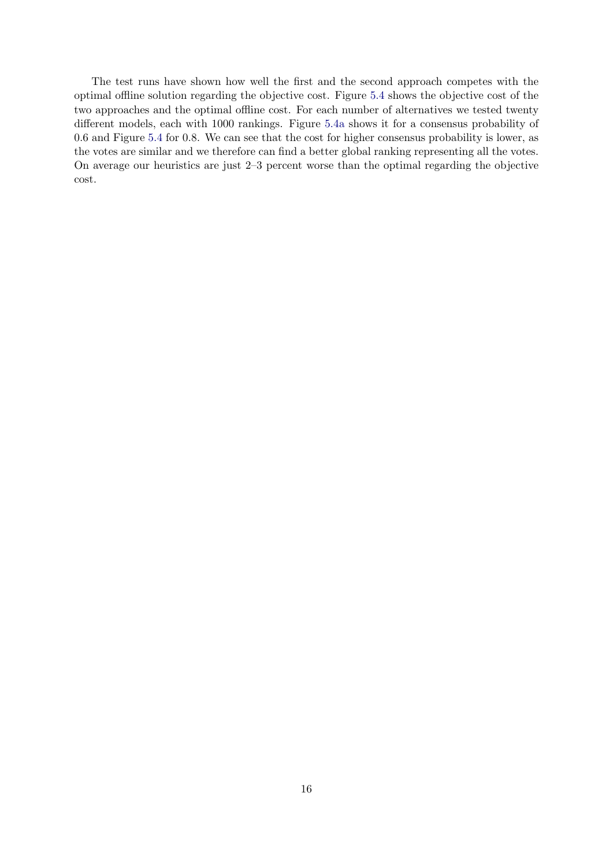The test runs have shown how well the first and the second approach competes with the optimal offline solution regarding the objective cost. Figure [5.4](#page-22-0) shows the objective cost of the two approaches and the optimal offline cost. For each number of alternatives we tested twenty different models, each with 1000 rankings. Figure [5.4a](#page-22-0) shows it for a consensus probability of 0.6 and Figure [5.4](#page-22-0) for 0.8. We can see that the cost for higher consensus probability is lower, as the votes are similar and we therefore can find a better global ranking representing all the votes. On average our heuristics are just 2–3 percent worse than the optimal regarding the objective cost.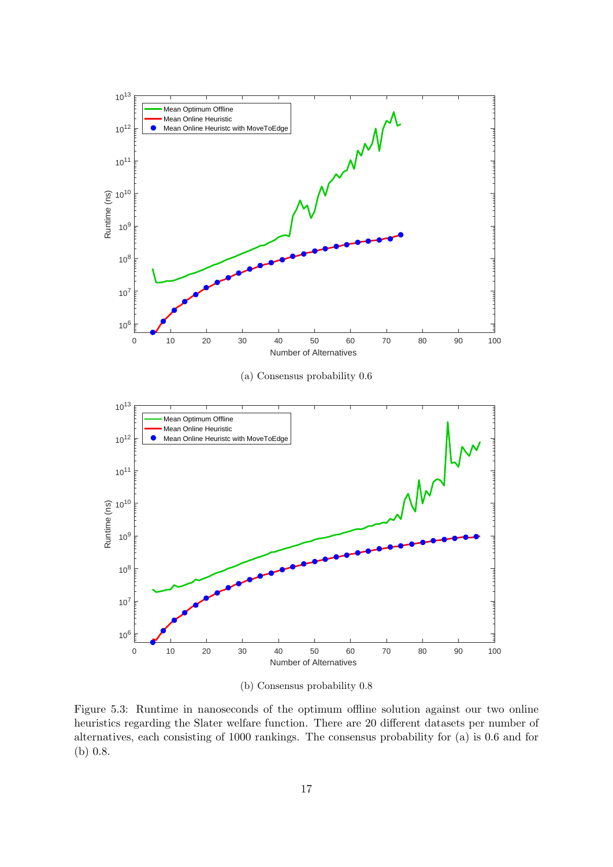<span id="page-21-0"></span>

(b) Consensus probability 0.8

Figure 5.3: Runtime in nanoseconds of the optimum offline solution against our two online heuristics regarding the Slater welfare function. There are 20 different datasets per number of alternatives, each consisting of 1000 rankings. The consensus probability for (a) is 0.6 and for (b) 0.8.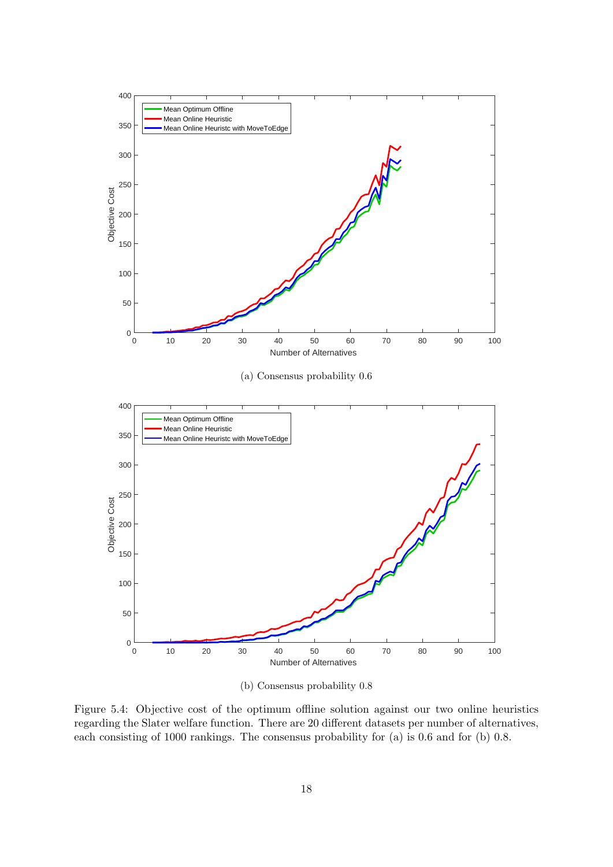<span id="page-22-0"></span>

(b) Consensus probability 0.8

Figure 5.4: Objective cost of the optimum offline solution against our two online heuristics regarding the Slater welfare function. There are 20 different datasets per number of alternatives, each consisting of 1000 rankings. The consensus probability for (a) is 0.6 and for (b) 0.8.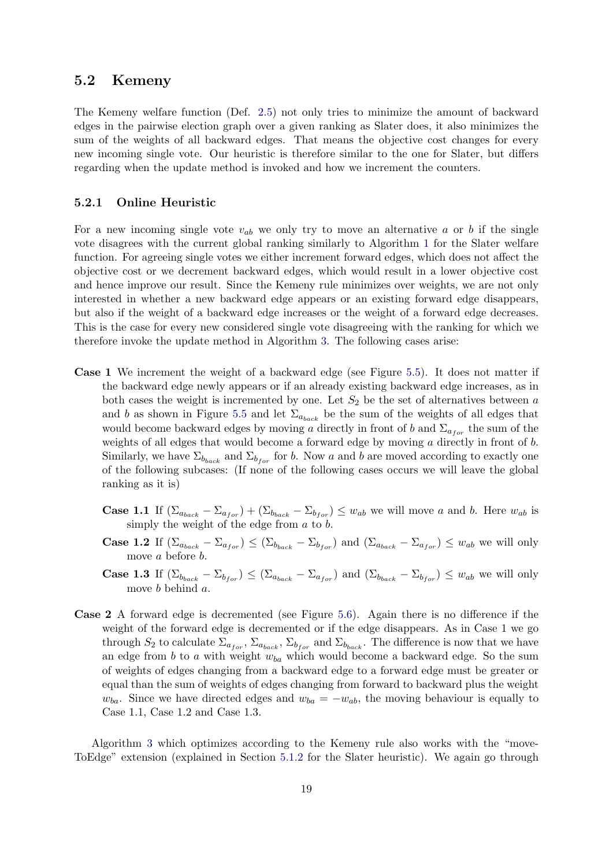## <span id="page-23-0"></span>5.2 Kemeny

The Kemeny welfare function (Def. [2.5\)](#page-8-1) not only tries to minimize the amount of backward edges in the pairwise election graph over a given ranking as Slater does, it also minimizes the sum of the weights of all backward edges. That means the objective cost changes for every new incoming single vote. Our heuristic is therefore similar to the one for Slater, but differs regarding when the update method is invoked and how we increment the counters.

#### <span id="page-23-1"></span>5.2.1 Online Heuristic

For a new incoming single vote  $v_{ab}$  we only try to move an alternative a or b if the single vote disagrees with the current global ranking similarly to Algorithm [1](#page-18-0) for the Slater welfare function. For agreeing single votes we either increment forward edges, which does not affect the objective cost or we decrement backward edges, which would result in a lower objective cost and hence improve our result. Since the Kemeny rule minimizes over weights, we are not only interested in whether a new backward edge appears or an existing forward edge disappears, but also if the weight of a backward edge increases or the weight of a forward edge decreases. This is the case for every new considered single vote disagreeing with the ranking for which we therefore invoke the update method in Algorithm [3.](#page-25-0) The following cases arise:

- Case 1 We increment the weight of a backward edge (see Figure [5.5\)](#page-24-1). It does not matter if the backward edge newly appears or if an already existing backward edge increases, as in both cases the weight is incremented by one. Let  $S_2$  be the set of alternatives between a and b as shown in Figure [5.5](#page-24-1) and let  $\Sigma_{a_{back}}$  be the sum of the weights of all edges that would become backward edges by moving a directly in front of b and  $\Sigma_{a_{for}}$  the sum of the weights of all edges that would become a forward edge by moving a directly in front of b. Similarly, we have  $\Sigma_{b_{back}}$  and  $\Sigma_{b_{for}}$  for b. Now a and b are moved according to exactly one of the following subcases: (If none of the following cases occurs we will leave the global ranking as it is)
	- **Case 1.1** If  $(\Sigma_{a_{back}} \Sigma_{a_{for}}) + (\Sigma_{b_{back}} \Sigma_{b_{for}}) \leq w_{ab}$  we will move a and b. Here  $w_{ab}$  is simply the weight of the edge from  $a$  to  $b$ .
	- **Case 1.2** If  $(\Sigma_{a_{back}} \Sigma_{a_{for}}) \leq (\Sigma_{b_{back}} \Sigma_{b_{for}})$  and  $(\Sigma_{a_{back}} \Sigma_{a_{for}}) \leq w_{ab}$  we will only move a before b.
	- **Case 1.3** If  $(\Sigma_{b_{back}} \Sigma_{b_{for}}) \leq (\Sigma_{a_{back}} \Sigma_{a_{for}})$  and  $(\Sigma_{b_{back}} \Sigma_{b_{for}}) \leq w_{ab}$  we will only move b behind a.
- Case 2 A forward edge is decremented (see Figure [5.6\)](#page-24-2). Again there is no difference if the weight of the forward edge is decremented or if the edge disappears. As in Case 1 we go through  $S_2$  to calculate  $\Sigma_{a_{for}}$ ,  $\Sigma_{a_{back}}$ ,  $\Sigma_{b_{for}}$  and  $\Sigma_{b_{back}}$ . The difference is now that we have an edge from b to a with weight  $w_{ba}$  which would become a backward edge. So the sum of weights of edges changing from a backward edge to a forward edge must be greater or equal than the sum of weights of edges changing from forward to backward plus the weight  $w_{ba}$ . Since we have directed edges and  $w_{ba} = -w_{ab}$ , the moving behaviour is equally to Case 1.1, Case 1.2 and Case 1.3.

Algorithm [3](#page-25-0) which optimizes according to the Kemeny rule also works with the "move-ToEdge" extension (explained in Section [5.1.2](#page-17-0) for the Slater heuristic). We again go through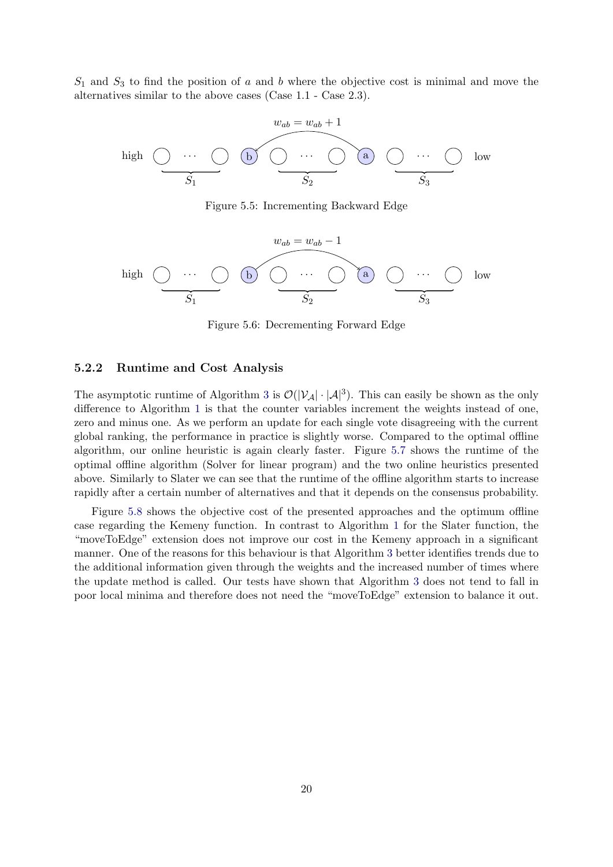<span id="page-24-1"></span> $S_1$  and  $S_3$  to find the position of a and b where the objective cost is minimal and move the alternatives similar to the above cases (Case 1.1 - Case 2.3).

$$
w_{ab} = w_{ab} + 1
$$
high\n
$$
y_{ab} = w_{ab} + 1
$$
\n
$$
y_{ab} = w_{ab} + 1
$$
\n
$$
y_{ab} = w_{ab} + 1
$$
\n
$$
y_{ab} = w_{ab} + 1
$$
\n
$$
y_{ab} = w_{ab} + 1
$$
\n
$$
y_{ab} = w_{ab} + 1
$$
\n
$$
y_{ab} = w_{ab} + 1
$$
\n
$$
y_{ab} = w_{ab} + 1
$$
\n
$$
y_{ab} = w_{ab} + 1
$$
\n
$$
y_{ab} = w_{ab} + 1
$$
\n
$$
y_{ab} = w_{ab} + 1
$$
\n
$$
y_{ab} = w_{ab} + 1
$$
\n
$$
y_{ab} = w_{ab} + 1
$$
\n
$$
y_{ab} = w_{ab} + 1
$$
\n
$$
y_{ab} = w_{ab} + 1
$$
\n
$$
y_{ab} = w_{ab} + 1
$$

Figure 5.5: Incrementing Backward Edge

<span id="page-24-2"></span>
$$
w_{ab} = w_{ab} - 1
$$
high\n
$$
w_{ab} = w_{ab} - 1
$$
\n
$$
w_{ab} = w_{ab} - 1
$$
\n
$$
w_{ab} = w_{ab} - 1
$$
\n
$$
w_{ab} = w_{ab} - 1
$$
\n
$$
w_{ab} = w_{ab} - 1
$$
\n
$$
w_{ab} = w_{ab} - 1
$$
\n
$$
w_{ab} = w_{ab} - 1
$$
\n
$$
w_{ab} = w_{ab} - 1
$$
\n
$$
w_{ab} = w_{ab} - 1
$$
\n
$$
w_{ab} = w_{ab} - 1
$$
\n
$$
w_{ab} = w_{ab} - 1
$$
\n
$$
w_{ab} = w_{ab} - 1
$$
\n
$$
w_{ab} = w_{ab} - 1
$$
\n
$$
w_{ab} = w_{ab} - 1
$$
\n
$$
w_{ab} = w_{ab} - 1
$$
\n
$$
w_{ab} = w_{ab} - 1
$$

Figure 5.6: Decrementing Forward Edge

#### <span id="page-24-0"></span>5.2.2 Runtime and Cost Analysis

The asymptotic runtime of Algorithm [3](#page-25-0) is  $\mathcal{O}(|\mathcal{V}_{\mathcal{A}}|\cdot |\mathcal{A}|^3)$ . This can easily be shown as the only difference to Algorithm [1](#page-18-0) is that the counter variables increment the weights instead of one, zero and minus one. As we perform an update for each single vote disagreeing with the current global ranking, the performance in practice is slightly worse. Compared to the optimal offline algorithm, our online heuristic is again clearly faster. Figure [5.7](#page-26-0) shows the runtime of the optimal offline algorithm (Solver for linear program) and the two online heuristics presented above. Similarly to Slater we can see that the runtime of the offline algorithm starts to increase rapidly after a certain number of alternatives and that it depends on the consensus probability.

Figure [5.8](#page-27-0) shows the objective cost of the presented approaches and the optimum offline case regarding the Kemeny function. In contrast to Algorithm [1](#page-18-0) for the Slater function, the "moveToEdge" extension does not improve our cost in the Kemeny approach in a significant manner. One of the reasons for this behaviour is that Algorithm [3](#page-25-0) better identifies trends due to the additional information given through the weights and the increased number of times where the update method is called. Our tests have shown that Algorithm [3](#page-25-0) does not tend to fall in poor local minima and therefore does not need the "moveToEdge" extension to balance it out.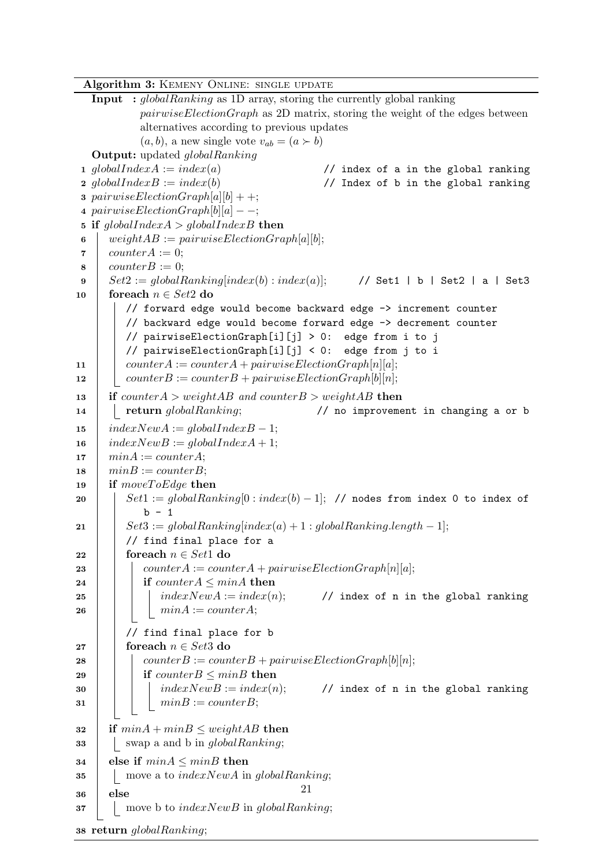Algorithm 3: KEMENY ONLINE: SINGLE UPDATE

```
Input : globalRanking as 1D array, storing the currently global ranking
          pairwiseElectronGraph as 2D matrix, storing the weight of the edges between
          alternatives according to previous updates
          (a, b), a new single vote v_{ab} = (a \succ b)Output: updated globalRanking
1 globalIndexA := index(a) // index of a in the global ranking
2 globalIndexB := index(b) // Index of b in the global ranking
3 pairwiseElectionGraph[a][b] + +;
4 pairwiseElectionGraph[b][a] -;
5 if globalIndexA > globalIndexB then
6 weight AB := pairwiseElectronGraph[a][b];\tau counter A := 0;
\bullet \quad counterB := 0;9 Set2 := globalRankingindex(b) : index(a)]; // Set1 | b | Set2 | a | Set3
10 foreach n \in Set2 do
        // forward edge would become backward edge -> increment counter
        // backward edge would become forward edge -> decrement counter
        // pairwiseElectionGraph[i][j] > 0: edge from i to j
        // pairwiseElectionGraph[i][j] < 0: edge from j to i
11 | counterA := counterA + pairwiseElectionGraph[n][a];
12 | counterB := counterB + pairwiseElectionGraph[b][n];
13 if counterA > weightAB and counterB > weightAB then
14 return globalRanking; \frac{1}{2} no improvement in changing a or b
15 indexNewA := globalIndexB - 1;16 indexNewB := globalIndexA + 1;17 \quad | \quad minA := counterA;18 \mid minB := counterB;
19 if moveToEdge then
20 Set1 := qlobalRanking[0:index(b) - 1]; // nodes from index 0 to index of
           b - 121 \vert \vert Set3 := globalRanking/index(a) + 1: globalRanking.length - 1;// find final place for a
22 foreach n \in Set1 do
23 | counterA := counterA + pairwiseElectionGraph[n][a];
24 if counterA \leq minA then
25 index NewA := index(n); // index of n in the global ranking
26 | | | minA := counterA;// find final place for b
27 | foreach n \in Set3 do
28 | counterB := counterB + pairwiseElectionGraph[b][n];
29 if counter B \leq minB then
30 index NewB := index(n); // index of n in the global ranking
31 | | minB := counterB;32 if minA + minB \leq weightAB then
\mathbf{33} | swap a and b in global Ranking;
34 else if minA \leq minB then
35 move a to indexNewA in globalRanking;
36 else
37 move b to indexNewB in globalRanking;
                                      21
```
38 return globalRanking;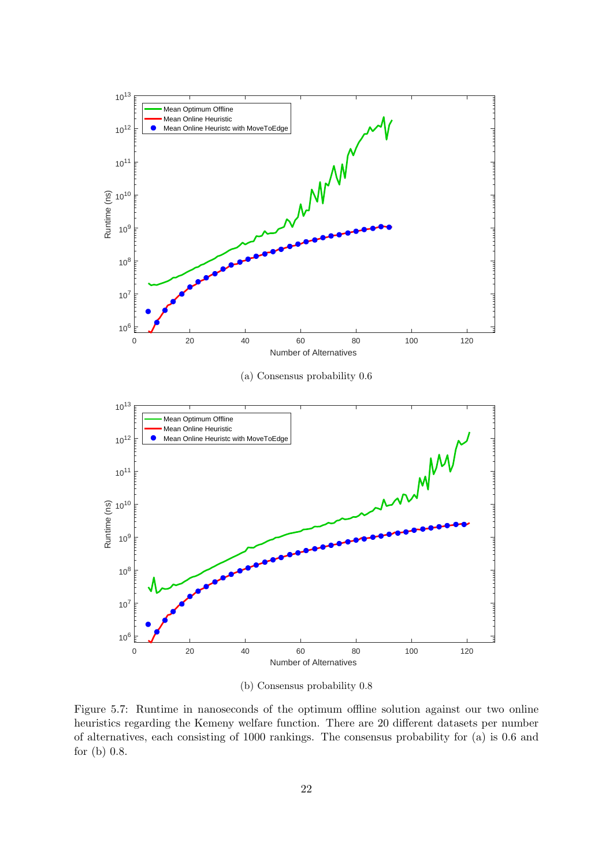<span id="page-26-0"></span>

(b) Consensus probability 0.8

Figure 5.7: Runtime in nanoseconds of the optimum offline solution against our two online heuristics regarding the Kemeny welfare function. There are 20 different datasets per number of alternatives, each consisting of 1000 rankings. The consensus probability for (a) is 0.6 and for (b) 0.8.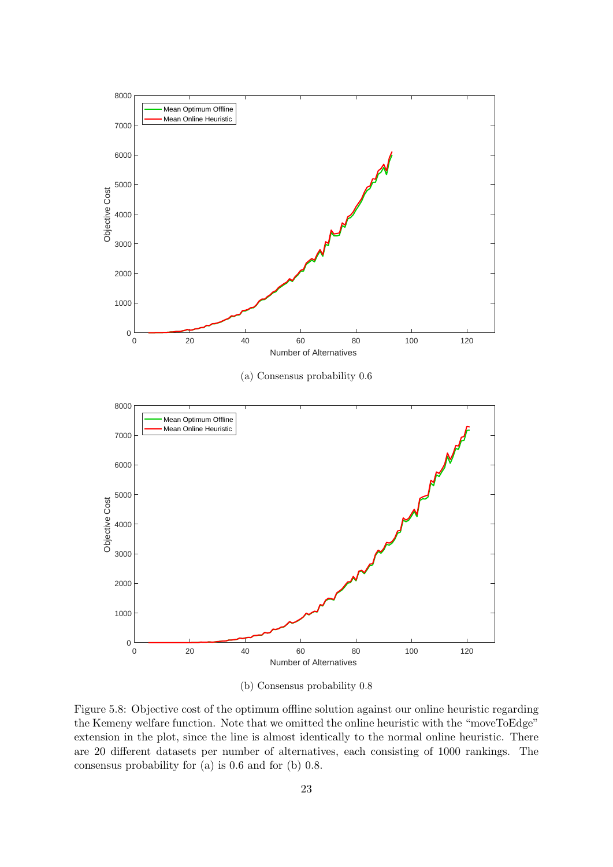<span id="page-27-0"></span>

(b) Consensus probability 0.8

Figure 5.8: Objective cost of the optimum offline solution against our online heuristic regarding the Kemeny welfare function. Note that we omitted the online heuristic with the "moveToEdge" extension in the plot, since the line is almost identically to the normal online heuristic. There are 20 different datasets per number of alternatives, each consisting of 1000 rankings. The consensus probability for (a) is 0.6 and for (b) 0.8.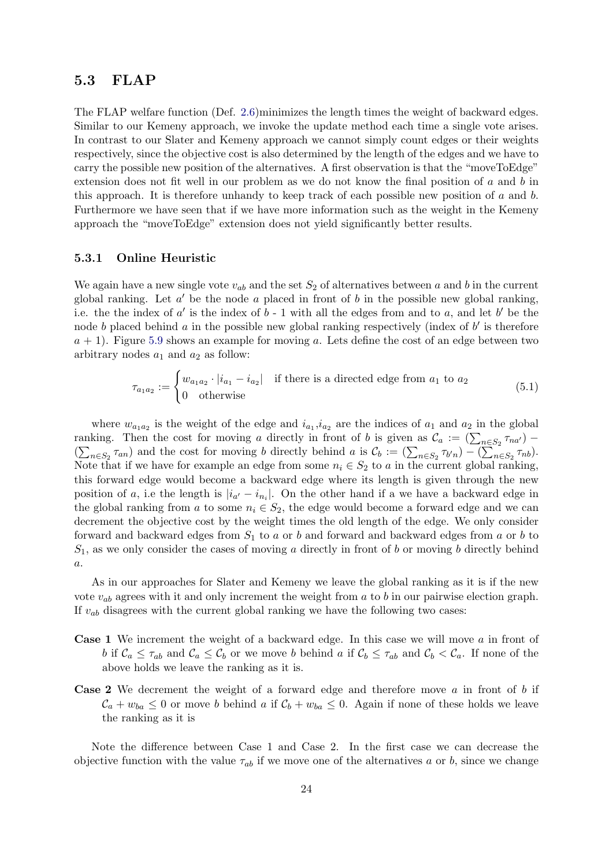## <span id="page-28-0"></span>5.3 FLAP

The FLAP welfare function (Def. [2.6\)](#page-8-2)minimizes the length times the weight of backward edges. Similar to our Kemeny approach, we invoke the update method each time a single vote arises. In contrast to our Slater and Kemeny approach we cannot simply count edges or their weights respectively, since the objective cost is also determined by the length of the edges and we have to carry the possible new position of the alternatives. A first observation is that the "moveToEdge" extension does not fit well in our problem as we do not know the final position of  $a$  and  $b$  in this approach. It is therefore unhandy to keep track of each possible new position of  $a$  and  $b$ . Furthermore we have seen that if we have more information such as the weight in the Kemeny approach the "moveToEdge" extension does not yield significantly better results.

#### <span id="page-28-1"></span>5.3.1 Online Heuristic

We again have a new single vote  $v_{ab}$  and the set  $S_2$  of alternatives between a and b in the current global ranking. Let  $a'$  be the node  $a$  placed in front of  $b$  in the possible new global ranking, i.e. the the index of  $a'$  is the index of  $b - 1$  with all the edges from and to  $a$ , and let  $b'$  be the node b placed behind  $a$  in the possible new global ranking respectively (index of  $b'$  is therefore  $a + 1$ ). Figure [5.9](#page-29-1) shows an example for moving a. Lets define the cost of an edge between two arbitrary nodes  $a_1$  and  $a_2$  as follow:

$$
\tau_{a_1 a_2} := \begin{cases} w_{a_1 a_2} \cdot |i_{a_1} - i_{a_2}| & \text{if there is a directed edge from } a_1 \text{ to } a_2 \\ 0 & \text{otherwise} \end{cases}
$$
(5.1)

where  $w_{a_1 a_2}$  is the weight of the edge and  $i_{a_1}$ ,  $i_{a_2}$  are the indices of  $a_1$  and  $a_2$  in the global ranking. Then the cost for moving a directly in front of b is given as  $\mathcal{C}_a := (\sum_{n \in S_2} \tau_{na})$  $(\sum_{n\in S_2} \tau_{an})$  and the cost for moving b directly behind a is  $\mathcal{C}_b := (\sum_{n\in S_2} \tau_{b'n}) - (\sum_{n\in S_2} \tau_{nb}).$ Note that if we have for example an edge from some  $n_i \in S_2$  to a in the current global ranking, this forward edge would become a backward edge where its length is given through the new position of a, i.e the length is  $|i_{a'} - i_{n_i}|$ . On the other hand if a we have a backward edge in the global ranking from a to some  $n_i \in S_2$ , the edge would become a forward edge and we can decrement the objective cost by the weight times the old length of the edge. We only consider forward and backward edges from  $S_1$  to a or b and forward and backward edges from a or b to  $S_1$ , as we only consider the cases of moving a directly in front of b or moving b directly behind a.

As in our approaches for Slater and Kemeny we leave the global ranking as it is if the new vote  $v_{ab}$  agrees with it and only increment the weight from a to b in our pairwise election graph. If  $v_{ab}$  disagrees with the current global ranking we have the following two cases:

- Case 1 We increment the weight of a backward edge. In this case we will move a in front of b if  $\mathcal{C}_a \leq \tau_{ab}$  and  $\mathcal{C}_a \leq \mathcal{C}_b$  or we move b behind a if  $\mathcal{C}_b \leq \tau_{ab}$  and  $\mathcal{C}_b < \mathcal{C}_a$ . If none of the above holds we leave the ranking as it is.
- **Case 2** We decrement the weight of a forward edge and therefore move  $a$  in front of  $b$  if  $\mathcal{C}_a + w_{ba} \leq 0$  or move b behind a if  $\mathcal{C}_b + w_{ba} \leq 0$ . Again if none of these holds we leave the ranking as it is

Note the difference between Case 1 and Case 2. In the first case we can decrease the objective function with the value  $\tau_{ab}$  if we move one of the alternatives a or b, since we change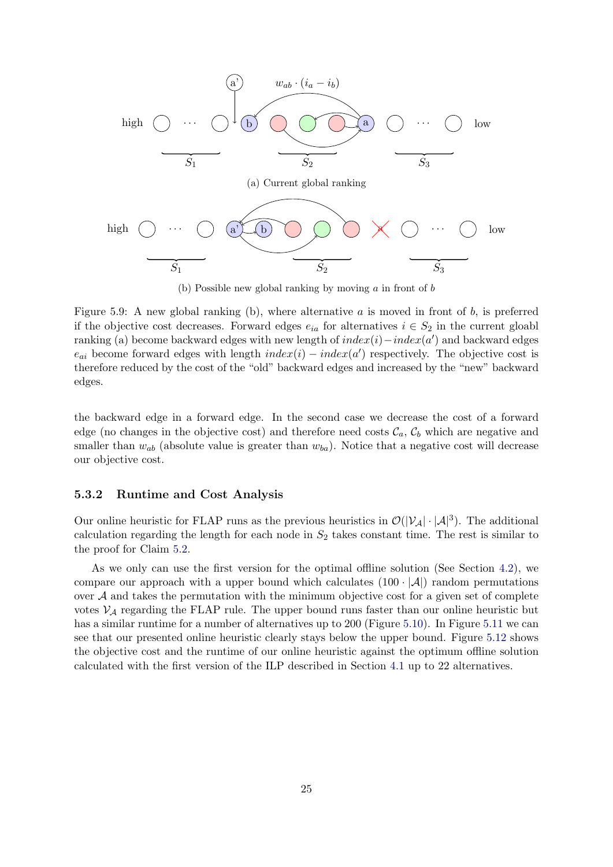<span id="page-29-1"></span>

(b) Possible new global ranking by moving  $\alpha$  in front of  $\beta$ 

Figure 5.9: A new global ranking (b), where alternative  $a$  is moved in front of  $b$ , is preferred if the objective cost decreases. Forward edges  $e_{ia}$  for alternatives  $i \in S_2$  in the current gloabl ranking (a) become backward edges with new length of  $index(i) - index(a')$  and backward edges  $e_{ai}$  become forward edges with length  $index(i) - index(a')$  respectively. The objective cost is therefore reduced by the cost of the "old" backward edges and increased by the "new" backward edges.

the backward edge in a forward edge. In the second case we decrease the cost of a forward edge (no changes in the objective cost) and therefore need costs  $\mathcal{C}_a$ ,  $\mathcal{C}_b$  which are negative and smaller than  $w_{ab}$  (absolute value is greater than  $w_{ba}$ ). Notice that a negative cost will decrease our objective cost.

#### <span id="page-29-0"></span>5.3.2 Runtime and Cost Analysis

Our online heuristic for FLAP runs as the previous heuristics in  $\mathcal{O}(|V_{\mathcal{A}}| \cdot |\mathcal{A}|^3)$ . The additional calculation regarding the length for each node in  $S_2$  takes constant time. The rest is similar to the proof for Claim [5.2.](#page-19-2)

As we only can use the first version for the optimal offline solution (See Section [4.2\)](#page-13-0), we compare our approach with a upper bound which calculates  $(100 \cdot |A|)$  random permutations over  $A$  and takes the permutation with the minimum objective cost for a given set of complete votes  $\mathcal{V}_{\mathcal{A}}$  regarding the FLAP rule. The upper bound runs faster than our online heuristic but has a similar runtime for a number of alternatives up to 200 (Figure [5.10\)](#page-31-0). In Figure [5.11](#page-32-0) we can see that our presented online heuristic clearly stays below the upper bound. Figure [5.12](#page-33-0) shows the objective cost and the runtime of our online heuristic against the optimum offline solution calculated with the first version of the ILP described in Section [4.1](#page-12-1) up to 22 alternatives.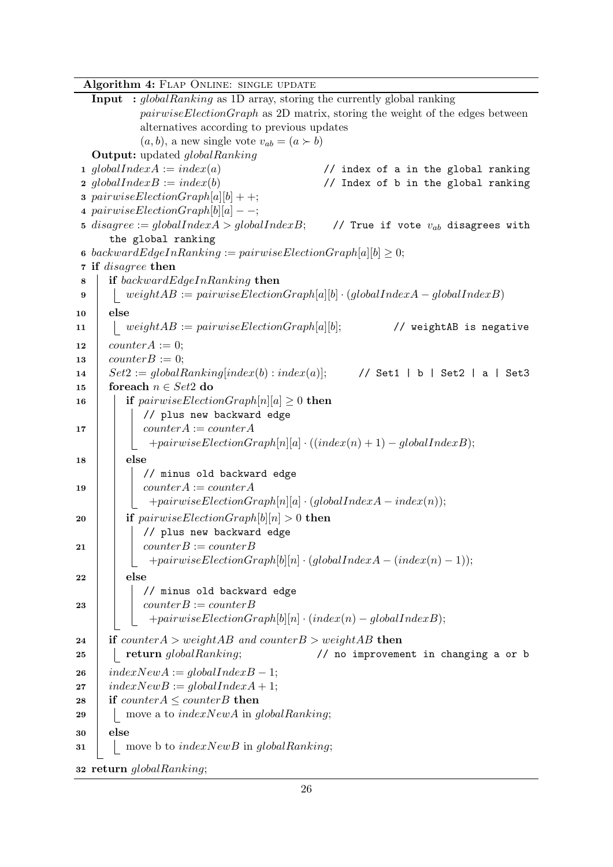Algorithm 4: FLAP ONLINE: SINGLE UPDATE

<span id="page-30-0"></span>Input : globalRanking as 1D array, storing the currently global ranking  $pairwiseElectronGraph$  as 2D matrix, storing the weight of the edges between alternatives according to previous updates  $(a, b)$ , a new single vote  $v_{ab} = (a \succ b)$ Output: updated globalRanking 1 globalIndexA :=  $index(a)$  // index of a in the global ranking 2  $globalIndexB := index(b)$  // Index of b in the global ranking 3 pairwiseElectionGraph[a][b] + +; 4 pairwiseElectionGraph[b][a]  $-$ ; 5 disagree := globalIndexA > globalIndexB; // True if vote  $v_{ab}$  disagrees with the global ranking 6 backwardEdgeInRanking := pairwiseElectionGraph[a][b]  $\geq 0$ ; 7 if disagree then 8 if backwardEdgeInRanking then 9 | weight $AB := pairwiseElectionGraph[a][b] \cdot (globalIndex A - globalIndex B)$  $10 \quad \text{else}$ 11 | weight $AB := pairwiseElectronGraph[a][b];$  // weightAB is negative 12 counter  $A := 0$ ; 13  $counterB := 0;$ 14  $Set2 := globalRanking/index(b):index(a)];$  // Set1 | b | Set2 | a | Set3 15 foreach  $n \in Set2$  do 16 **if** pairwiseElectionGraph[n][a]  $\geq 0$  then // plus new backward edge 17 | counterA := counterA  $+pairwiseElectionGraph[n][a] \cdot ((index(n) + 1) - globalIndexB);$  $18$  else // minus old backward edge 19 | counterA := counterA  $+pairwiseElectionGraph[n][a] \cdot (globalIndex A - index(n));$ 20 if  $pairwiseElectronGraph[b][n] > 0$  then // plus new backward edge 21 | counterB := counterB  $+pairwiseElectionGraph[b][n] \cdot (globalIndex A - (index(n) - 1));$  $22$  else // minus old backward edge 23 | |  $counterB := counterB$  $+pairwiseElectionGraph[b][n] \cdot (index(n) - globalIndexB);$ 24 if counter  $A > weightAB$  and counter  $B > weightAB$  then  $25$  | | return  $globalRanking$ ;  $\qquad$  // no improvement in changing a or b  $26$  indexNewA := globalIndexB - 1; 27  $indexNewB := globalIndexA + 1;$ 28 if counter $A \leq counterB$  then 29 | | move a to  $indexNewA$  in global Ranking;  $30 \mid$ else  $31$  move b to indexNewB in globalRanking; 32 return globalRanking;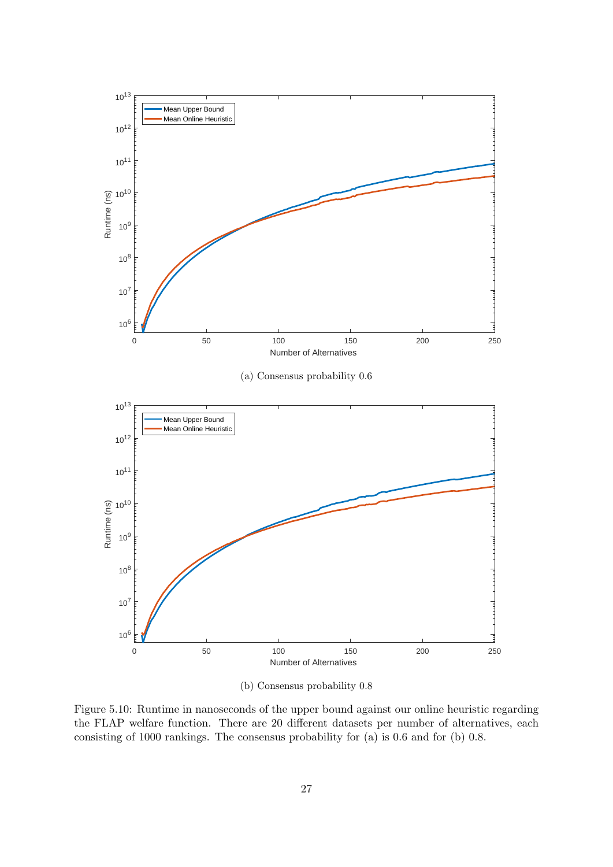<span id="page-31-0"></span>

(b) Consensus probability 0.8

Figure 5.10: Runtime in nanoseconds of the upper bound against our online heuristic regarding the FLAP welfare function. There are 20 different datasets per number of alternatives, each consisting of 1000 rankings. The consensus probability for (a) is 0.6 and for (b) 0.8.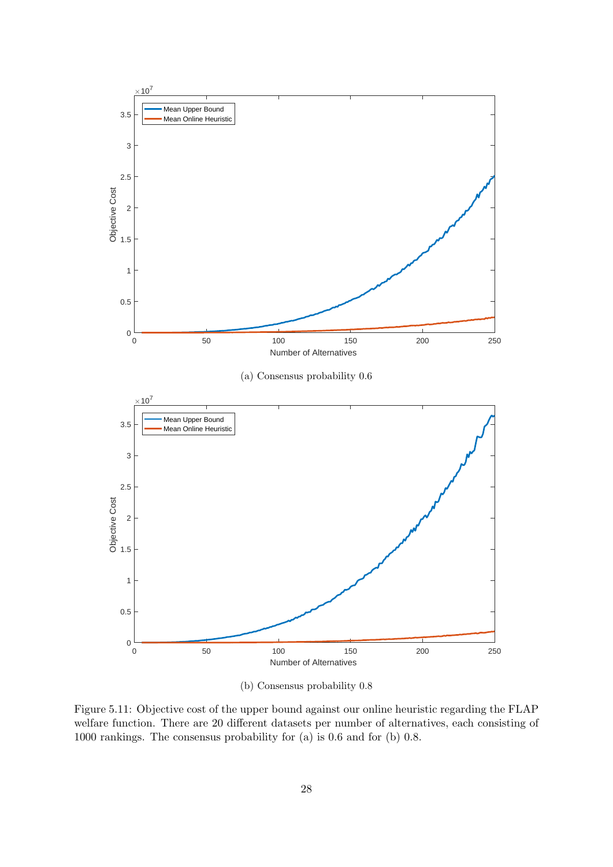<span id="page-32-0"></span>

(b) Consensus probability 0.8

Figure 5.11: Objective cost of the upper bound against our online heuristic regarding the FLAP welfare function. There are 20 different datasets per number of alternatives, each consisting of 1000 rankings. The consensus probability for (a) is 0.6 and for (b) 0.8.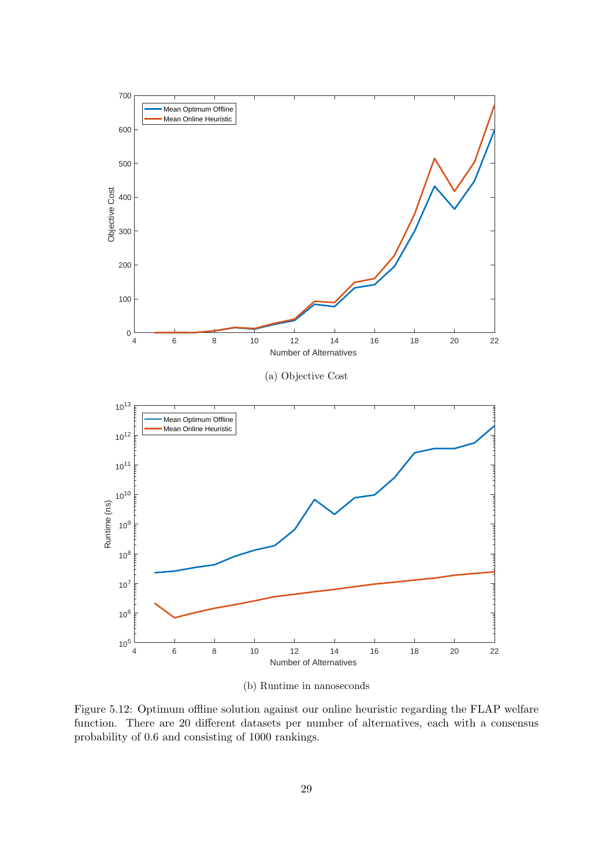<span id="page-33-0"></span>

(b) Runtime in nanoseconds

Figure 5.12: Optimum offline solution against our online heuristic regarding the FLAP welfare function. There are 20 different datasets per number of alternatives, each with a consensus probability of 0.6 and consisting of 1000 rankings.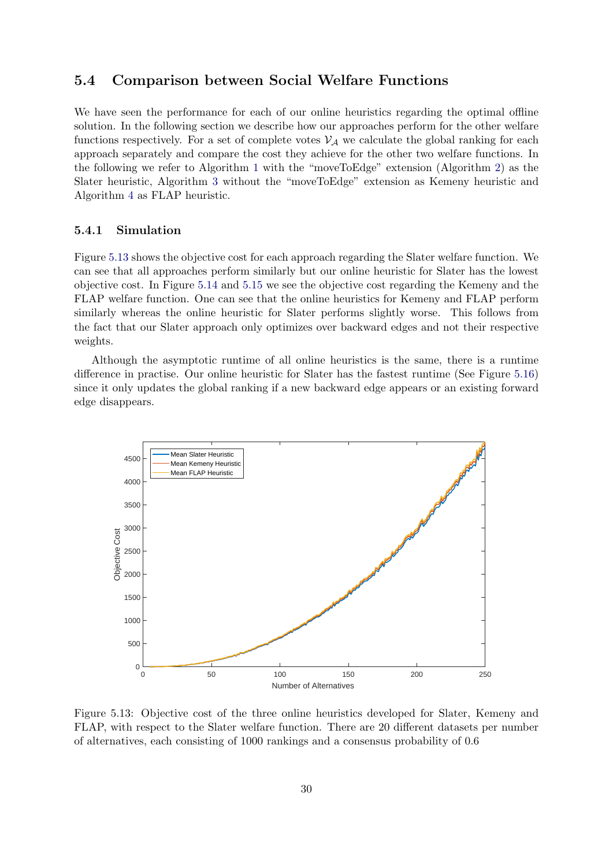## <span id="page-34-0"></span>5.4 Comparison between Social Welfare Functions

We have seen the performance for each of our online heuristics regarding the optimal offline solution. In the following section we describe how our approaches perform for the other welfare functions respectively. For a set of complete votes  $\mathcal{V}_{\mathcal{A}}$  we calculate the global ranking for each approach separately and compare the cost they achieve for the other two welfare functions. In the following we refer to Algorithm [1](#page-18-0) with the "moveToEdge" extension (Algorithm [2\)](#page-19-1) as the Slater heuristic, Algorithm [3](#page-25-0) without the "moveToEdge" extension as Kemeny heuristic and Algorithm [4](#page-30-0) as FLAP heuristic.

#### <span id="page-34-1"></span>5.4.1 Simulation

Figure [5.13](#page-34-2) shows the objective cost for each approach regarding the Slater welfare function. We can see that all approaches perform similarly but our online heuristic for Slater has the lowest objective cost. In Figure [5.14](#page-35-0) and [5.15](#page-35-1) we see the objective cost regarding the Kemeny and the FLAP welfare function. One can see that the online heuristics for Kemeny and FLAP perform similarly whereas the online heuristic for Slater performs slightly worse. This follows from the fact that our Slater approach only optimizes over backward edges and not their respective weights.

Although the asymptotic runtime of all online heuristics is the same, there is a runtime difference in practise. Our online heuristic for Slater has the fastest runtime (See Figure [5.16\)](#page-36-2) since it only updates the global ranking if a new backward edge appears or an existing forward edge disappears.

<span id="page-34-2"></span>

Figure 5.13: Objective cost of the three online heuristics developed for Slater, Kemeny and FLAP, with respect to the Slater welfare function. There are 20 different datasets per number of alternatives, each consisting of 1000 rankings and a consensus probability of 0.6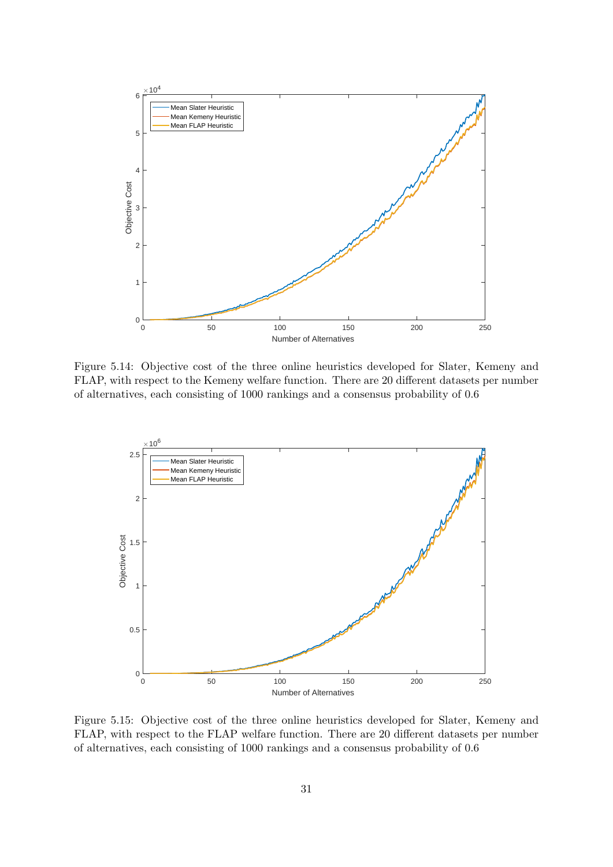<span id="page-35-0"></span>

Figure 5.14: Objective cost of the three online heuristics developed for Slater, Kemeny and FLAP, with respect to the Kemeny welfare function. There are 20 different datasets per number of alternatives, each consisting of 1000 rankings and a consensus probability of 0.6

<span id="page-35-1"></span>

Figure 5.15: Objective cost of the three online heuristics developed for Slater, Kemeny and FLAP, with respect to the FLAP welfare function. There are 20 different datasets per number of alternatives, each consisting of 1000 rankings and a consensus probability of 0.6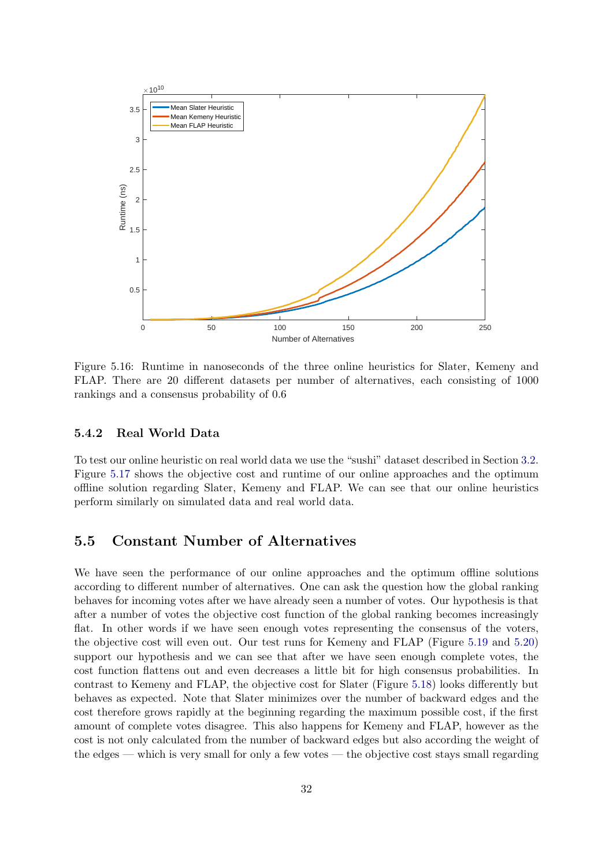<span id="page-36-2"></span>

Figure 5.16: Runtime in nanoseconds of the three online heuristics for Slater, Kemeny and FLAP. There are 20 different datasets per number of alternatives, each consisting of 1000 rankings and a consensus probability of 0.6

#### <span id="page-36-0"></span>5.4.2 Real World Data

To test our online heuristic on real world data we use the "sushi" dataset described in Section [3.2.](#page-10-2) Figure [5.17](#page-37-0) shows the objective cost and runtime of our online approaches and the optimum offline solution regarding Slater, Kemeny and FLAP. We can see that our online heuristics perform similarly on simulated data and real world data.

## <span id="page-36-1"></span>5.5 Constant Number of Alternatives

We have seen the performance of our online approaches and the optimum offline solutions according to different number of alternatives. One can ask the question how the global ranking behaves for incoming votes after we have already seen a number of votes. Our hypothesis is that after a number of votes the objective cost function of the global ranking becomes increasingly flat. In other words if we have seen enough votes representing the consensus of the voters, the objective cost will even out. Our test runs for Kemeny and FLAP (Figure [5.19](#page-39-0) and [5.20\)](#page-39-1) support our hypothesis and we can see that after we have seen enough complete votes, the cost function flattens out and even decreases a little bit for high consensus probabilities. In contrast to Kemeny and FLAP, the objective cost for Slater (Figure [5.18\)](#page-38-0) looks differently but behaves as expected. Note that Slater minimizes over the number of backward edges and the cost therefore grows rapidly at the beginning regarding the maximum possible cost, if the first amount of complete votes disagree. This also happens for Kemeny and FLAP, however as the cost is not only calculated from the number of backward edges but also according the weight of the edges — which is very small for only a few votes — the objective cost stays small regarding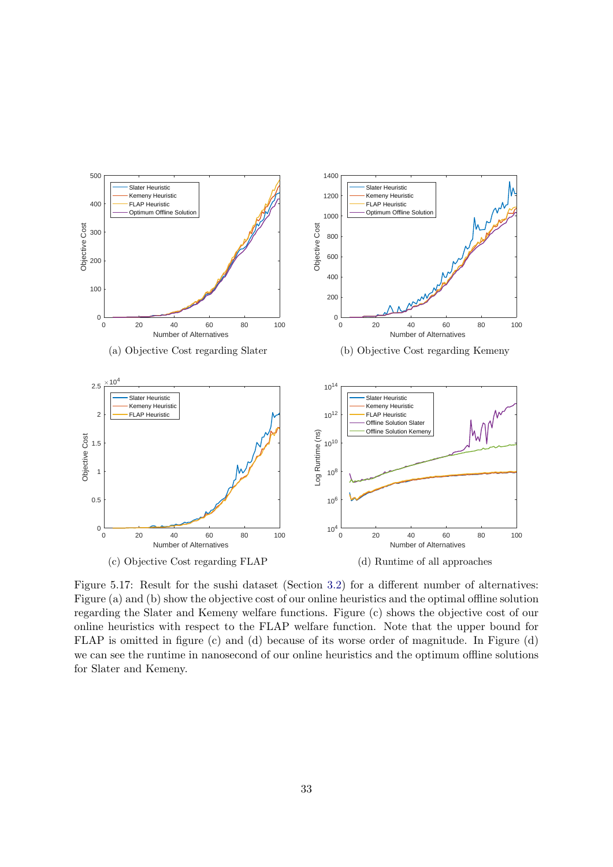<span id="page-37-0"></span>

Figure 5.17: Result for the sushi dataset (Section [3.2\)](#page-10-2) for a different number of alternatives: Figure (a) and (b) show the objective cost of our online heuristics and the optimal offline solution regarding the Slater and Kemeny welfare functions. Figure (c) shows the objective cost of our online heuristics with respect to the FLAP welfare function. Note that the upper bound for FLAP is omitted in figure (c) and (d) because of its worse order of magnitude. In Figure (d) we can see the runtime in nanosecond of our online heuristics and the optimum offline solutions for Slater and Kemeny.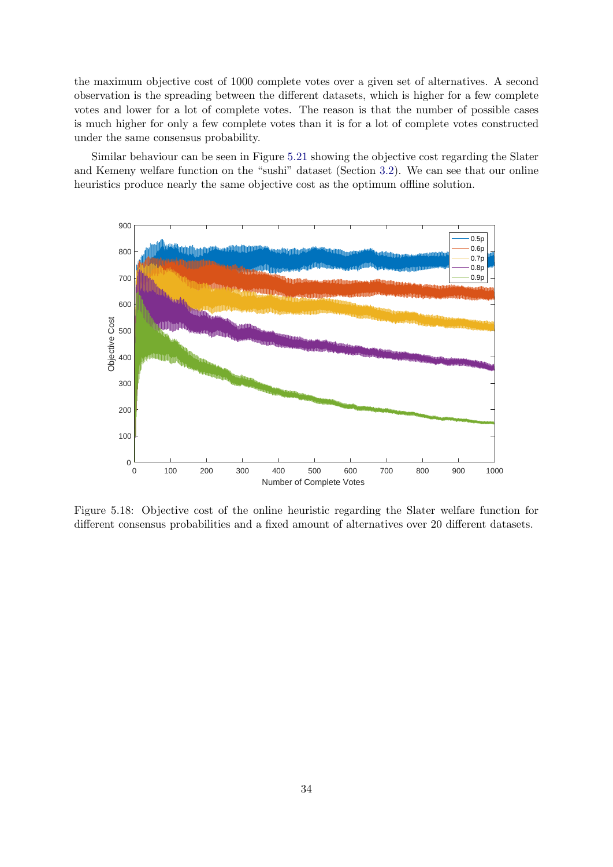the maximum objective cost of 1000 complete votes over a given set of alternatives. A second observation is the spreading between the different datasets, which is higher for a few complete votes and lower for a lot of complete votes. The reason is that the number of possible cases is much higher for only a few complete votes than it is for a lot of complete votes constructed under the same consensus probability.

Similar behaviour can be seen in Figure [5.21](#page-40-0) showing the objective cost regarding the Slater and Kemeny welfare function on the "sushi" dataset (Section [3.2\)](#page-10-2). We can see that our online heuristics produce nearly the same objective cost as the optimum offline solution.

<span id="page-38-0"></span>

Figure 5.18: Objective cost of the online heuristic regarding the Slater welfare function for different consensus probabilities and a fixed amount of alternatives over 20 different datasets.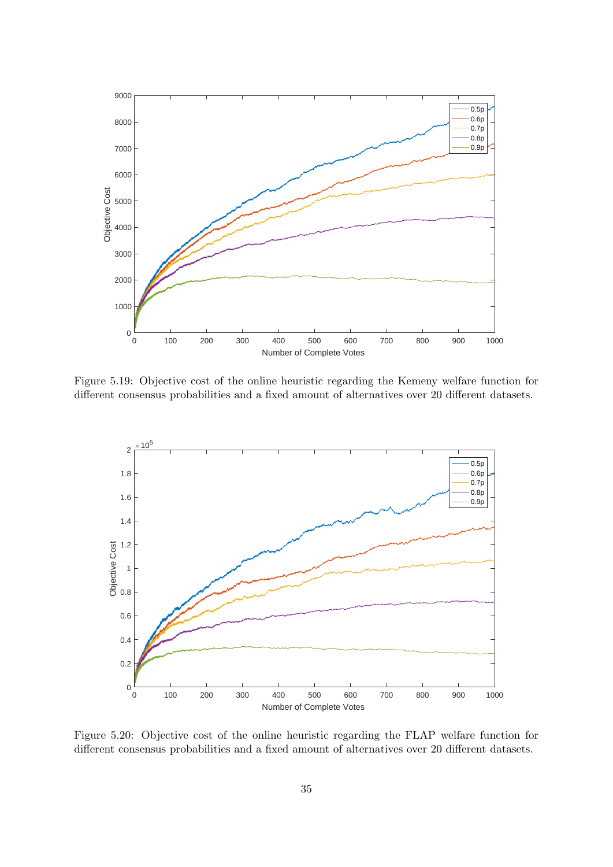<span id="page-39-0"></span>

Figure 5.19: Objective cost of the online heuristic regarding the Kemeny welfare function for different consensus probabilities and a fixed amount of alternatives over 20 different datasets.

<span id="page-39-1"></span>

Figure 5.20: Objective cost of the online heuristic regarding the FLAP welfare function for different consensus probabilities and a fixed amount of alternatives over 20 different datasets.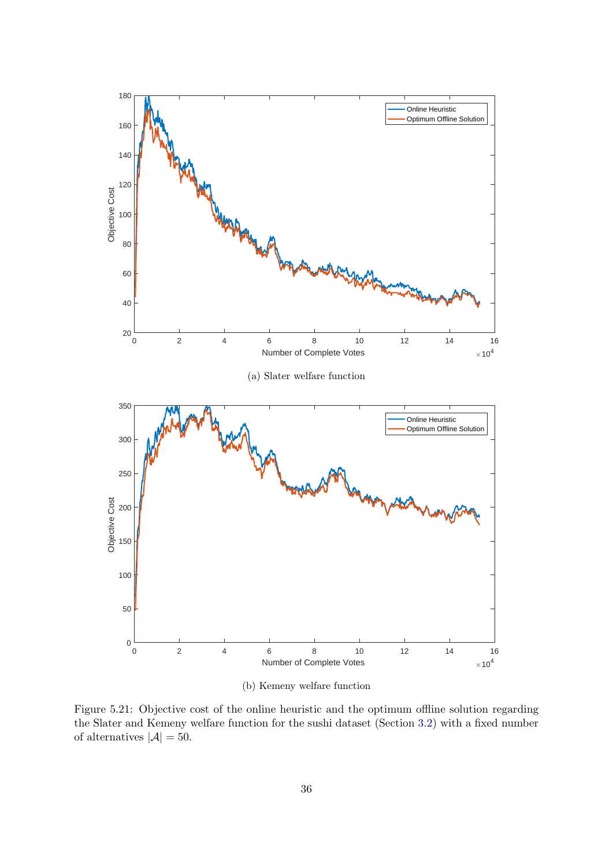<span id="page-40-0"></span>

(b) Kemeny welfare function

Figure 5.21: Objective cost of the online heuristic and the optimum offline solution regarding the Slater and Kemeny welfare function for the sushi dataset (Section [3.2\)](#page-10-2) with a fixed number of alternatives  $|\mathcal{A}| = 50$ .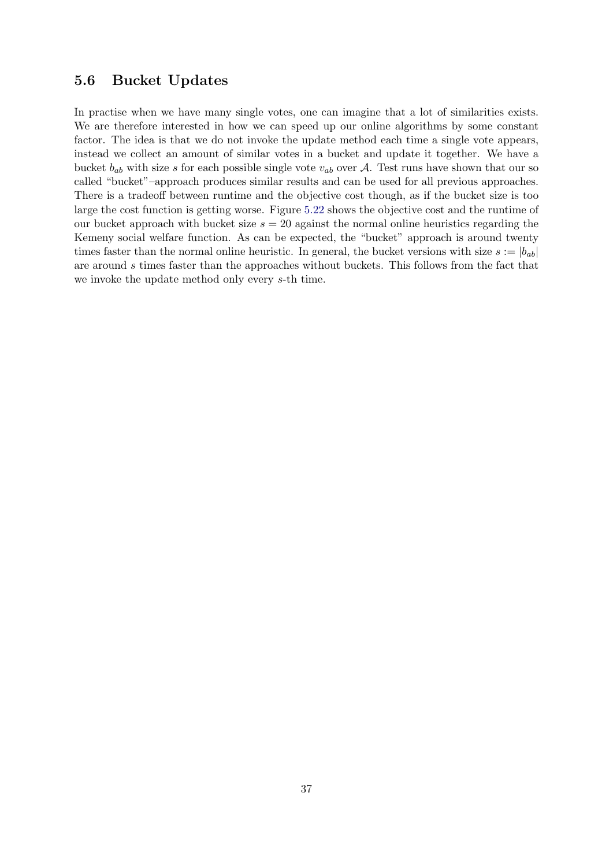## <span id="page-41-0"></span>5.6 Bucket Updates

In practise when we have many single votes, one can imagine that a lot of similarities exists. We are therefore interested in how we can speed up our online algorithms by some constant factor. The idea is that we do not invoke the update method each time a single vote appears, instead we collect an amount of similar votes in a bucket and update it together. We have a bucket  $b_{ab}$  with size s for each possible single vote  $v_{ab}$  over A. Test runs have shown that our so called "bucket"–approach produces similar results and can be used for all previous approaches. There is a tradeoff between runtime and the objective cost though, as if the bucket size is too large the cost function is getting worse. Figure [5.22](#page-42-0) shows the objective cost and the runtime of our bucket approach with bucket size  $s = 20$  against the normal online heuristics regarding the Kemeny social welfare function. As can be expected, the "bucket" approach is around twenty times faster than the normal online heuristic. In general, the bucket versions with size  $s := |b_{ab}|$ are around s times faster than the approaches without buckets. This follows from the fact that we invoke the update method only every s-th time.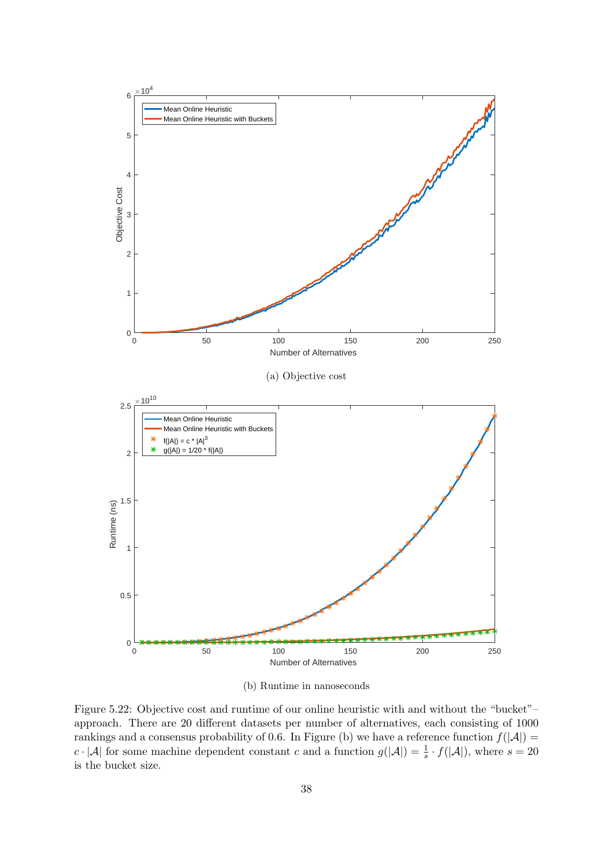<span id="page-42-0"></span>

(b) Runtime in nanoseconds

Figure 5.22: Objective cost and runtime of our online heuristic with and without the "bucket"– approach. There are 20 different datasets per number of alternatives, each consisting of 1000 rankings and a consensus probability of 0.6. In Figure (b) we have a reference function  $f(|A|)$  =  $c \cdot |\mathcal{A}|$  for some machine dependent constant c and a function  $g(|\mathcal{A}|) = \frac{1}{s} \cdot f(|\mathcal{A}|)$ , where  $s = 20$ is the bucket size.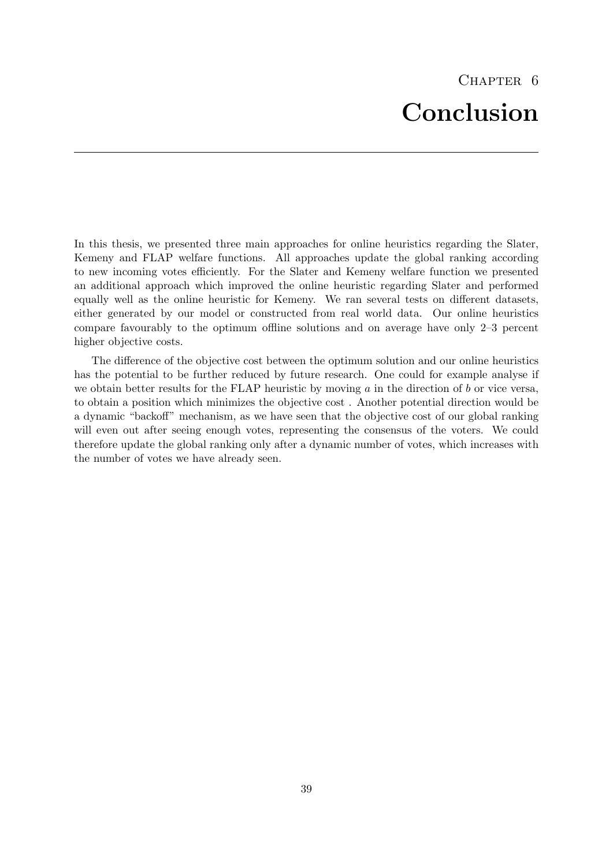<span id="page-43-0"></span>In this thesis, we presented three main approaches for online heuristics regarding the Slater, Kemeny and FLAP welfare functions. All approaches update the global ranking according to new incoming votes efficiently. For the Slater and Kemeny welfare function we presented an additional approach which improved the online heuristic regarding Slater and performed equally well as the online heuristic for Kemeny. We ran several tests on different datasets, either generated by our model or constructed from real world data. Our online heuristics compare favourably to the optimum offline solutions and on average have only 2–3 percent higher objective costs.

The difference of the objective cost between the optimum solution and our online heuristics has the potential to be further reduced by future research. One could for example analyse if we obtain better results for the FLAP heuristic by moving  $a$  in the direction of  $b$  or vice versa, to obtain a position which minimizes the objective cost . Another potential direction would be a dynamic "backoff" mechanism, as we have seen that the objective cost of our global ranking will even out after seeing enough votes, representing the consensus of the voters. We could therefore update the global ranking only after a dynamic number of votes, which increases with the number of votes we have already seen.